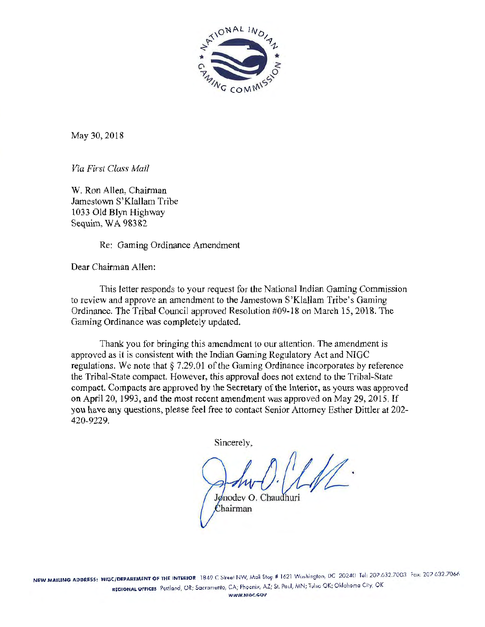

May 30, 2018

*Via First Class Mail* 

W. Ron Allen, Chairman Jamestown S'Klallam Tribe l 033 Old Blyn Highway Sequim, WA 98382

Re: Gaming Ordinance Amendment

Dear Chairman Allen:

This letter responds to your request for the National Indian Gaming Commission to review and approve an amendment to the Jamestown S'Klallam Tribe's Gaming Ordinance. The Tribal Council approved Resolution #09-18 on March 15, 2018. The Gaming Ordinance was completely updated.

Thank you for bringing this amendment to our attention. The amendment is approved as it is consistent with the Indian Gaming Regulatory Act and NIGC regulations. We note that§ 7.29.01 of the Gaming Ordinance incorporates by reference the Tribal-State compact. However, this approval does not extend to the Tribal-State compact. Compacts are approved by the Secretary of the Interior, as yours was approved on April 20, 1993, and the most recent amendment was approved on May 29, 2015. If you have any questions, please feel free to contact Senior Attorney Esther Dittler at 202- 420-9229.

Sincerely,

Jonodey O. Chaudhuri

Chairman

WWW.NIOC.GOY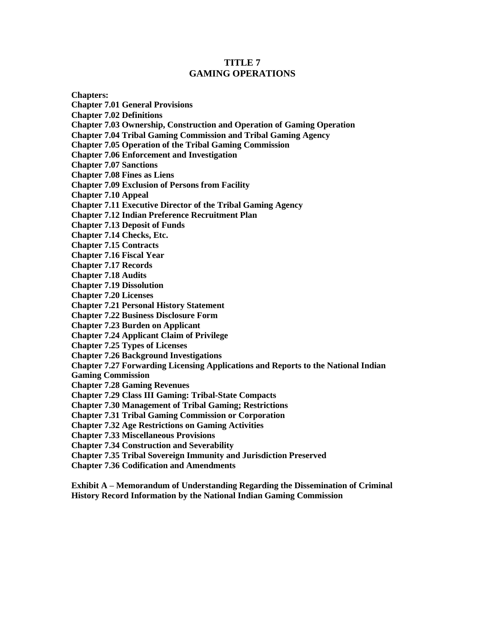#### **TITLE 7 GAMING OPERATIONS**

**Chapters: Chapter 7.01 General Provisions Chapter 7.02 Definitions Chapter 7.03 Ownership, Construction and Operation of Gaming Operation Chapter 7.04 Tribal Gaming Commission and Tribal Gaming Agency Chapter 7.05 Operation of the Tribal Gaming Commission Chapter 7.06 Enforcement and Investigation Chapter 7.07 Sanctions Chapter 7.08 Fines as Liens Chapter 7.09 Exclusion of Persons from Facility Chapter 7.10 Appeal Chapter 7.11 Executive Director of the Tribal Gaming Agency Chapter 7.12 Indian Preference Recruitment Plan Chapter 7.13 Deposit of Funds Chapter 7.14 Checks, Etc. Chapter 7.15 Contracts Chapter 7.16 Fiscal Year Chapter 7.17 Records Chapter 7.18 Audits Chapter 7.19 Dissolution Chapter 7.20 Licenses Chapter 7.21 Personal History Statement Chapter 7.22 Business Disclosure Form Chapter 7.23 Burden on Applicant Chapter 7.24 Applicant Claim of Privilege Chapter 7.25 Types of Licenses Chapter 7.26 Background Investigations Chapter 7.27 Forwarding Licensing Applications and Reports to the National Indian Gaming Commission Chapter 7.28 Gaming Revenues Chapter 7.29 Class III Gaming: Tribal-State Compacts Chapter 7.30 Management of Tribal Gaming; Restrictions Chapter 7.31 Tribal Gaming Commission or Corporation Chapter 7.32 Age Restrictions on Gaming Activities Chapter 7.33 Miscellaneous Provisions Chapter 7.34 Construction and Severability**

**Chapter 7.35 Tribal Sovereign Immunity and Jurisdiction Preserved**

**Chapter 7.36 Codification and Amendments**

**Exhibit A – Memorandum of Understanding Regarding the Dissemination of Criminal History Record Information by the National Indian Gaming Commission**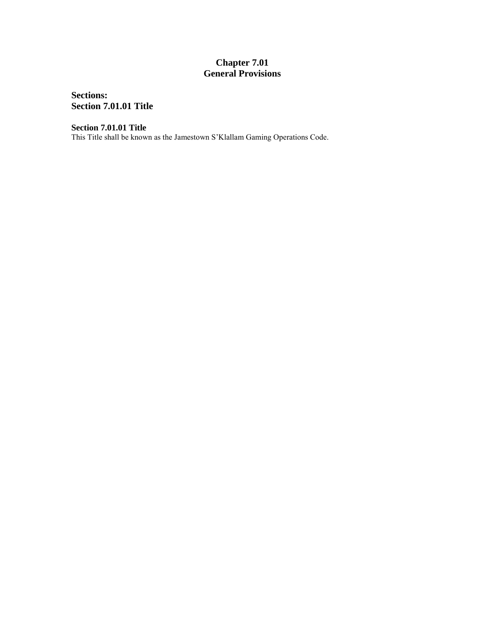## **Chapter 7.01 General Provisions**

**Sections: Section 7.01.01 Title**

**Section 7.01.01 Title**

This Title shall be known as the Jamestown S'Klallam Gaming Operations Code.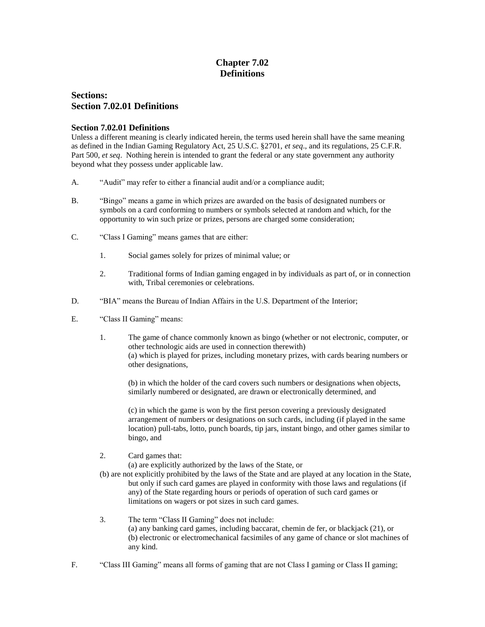## **Chapter 7.02 Definitions**

## **Sections: Section 7.02.01 Definitions**

#### **Section 7.02.01 Definitions**

Unless a different meaning is clearly indicated herein, the terms used herein shall have the same meaning as defined in the Indian Gaming Regulatory Act, 25 U.S.C. §2701, *et seq*., and its regulations, 25 C.F.R. Part 500, *et seq*. Nothing herein is intended to grant the federal or any state government any authority beyond what they possess under applicable law.

- A. "Audit" may refer to either a financial audit and/or a compliance audit;
- B. "Bingo" means a game in which prizes are awarded on the basis of designated numbers or symbols on a card conforming to numbers or symbols selected at random and which, for the opportunity to win such prize or prizes, persons are charged some consideration;
- C. "Class I Gaming" means games that are either:
	- 1. Social games solely for prizes of minimal value; or
	- 2. Traditional forms of Indian gaming engaged in by individuals as part of, or in connection with, Tribal ceremonies or celebrations.
- D. "BIA" means the Bureau of Indian Affairs in the U.S. Department of the Interior;
- E. "Class II Gaming" means:
	- 1. The game of chance commonly known as bingo (whether or not electronic, computer, or other technologic aids are used in connection therewith) (a) which is played for prizes, including monetary prizes, with cards bearing numbers or other designations,

(b) in which the holder of the card covers such numbers or designations when objects, similarly numbered or designated, are drawn or electronically determined, and

(c) in which the game is won by the first person covering a previously designated arrangement of numbers or designations on such cards, including (if played in the same location) pull-tabs, lotto, punch boards, tip jars, instant bingo, and other games similar to bingo, and

2. Card games that:

(a) are explicitly authorized by the laws of the State, or

- (b) are not explicitly prohibited by the laws of the State and are played at any location in the State, but only if such card games are played in conformity with those laws and regulations (if any) of the State regarding hours or periods of operation of such card games or limitations on wagers or pot sizes in such card games.
- 3. The term "Class II Gaming" does not include: (a) any banking card games, including baccarat, chemin de fer, or blackjack (21), or (b) electronic or electromechanical facsimiles of any game of chance or slot machines of any kind.
- F. "Class III Gaming" means all forms of gaming that are not Class I gaming or Class II gaming;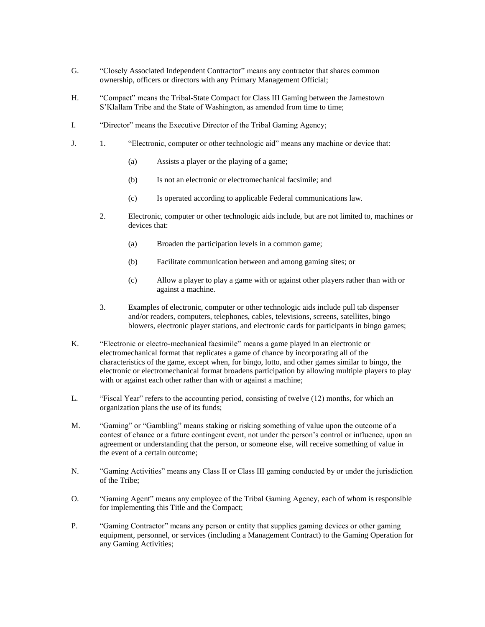- G. "Closely Associated Independent Contractor" means any contractor that shares common ownership, officers or directors with any Primary Management Official;
- H. "Compact" means the Tribal-State Compact for Class III Gaming between the Jamestown S'Klallam Tribe and the State of Washington, as amended from time to time;
- I. "Director" means the Executive Director of the Tribal Gaming Agency;
- J. 1. "Electronic, computer or other technologic aid" means any machine or device that:
	- (a) Assists a player or the playing of a game;
	- (b) Is not an electronic or electromechanical facsimile; and
	- (c) Is operated according to applicable Federal communications law.
	- 2. Electronic, computer or other technologic aids include, but are not limited to, machines or devices that:
		- (a) Broaden the participation levels in a common game;
		- (b) Facilitate communication between and among gaming sites; or
		- (c) Allow a player to play a game with or against other players rather than with or against a machine.
	- 3. Examples of electronic, computer or other technologic aids include pull tab dispenser and/or readers, computers, telephones, cables, televisions, screens, satellites, bingo blowers, electronic player stations, and electronic cards for participants in bingo games;
- K. "Electronic or electro-mechanical facsimile" means a game played in an electronic or electromechanical format that replicates a game of chance by incorporating all of the characteristics of the game, except when, for bingo, lotto, and other games similar to bingo, the electronic or electromechanical format broadens participation by allowing multiple players to play with or against each other rather than with or against a machine;
- L. "Fiscal Year" refers to the accounting period, consisting of twelve (12) months, for which an organization plans the use of its funds;
- M. "Gaming" or "Gambling" means staking or risking something of value upon the outcome of a contest of chance or a future contingent event, not under the person's control or influence, upon an agreement or understanding that the person, or someone else, will receive something of value in the event of a certain outcome;
- N. "Gaming Activities" means any Class II or Class III gaming conducted by or under the jurisdiction of the Tribe;
- O. "Gaming Agent" means any employee of the Tribal Gaming Agency, each of whom is responsible for implementing this Title and the Compact;
- P. "Gaming Contractor" means any person or entity that supplies gaming devices or other gaming equipment, personnel, or services (including a Management Contract) to the Gaming Operation for any Gaming Activities;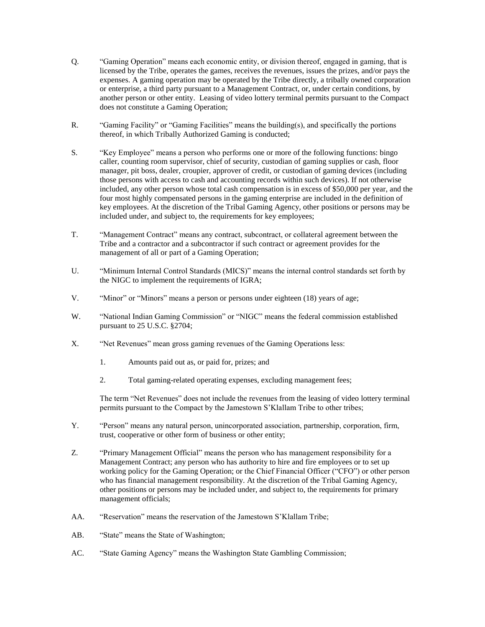- Q. "Gaming Operation" means each economic entity, or division thereof, engaged in gaming, that is licensed by the Tribe, operates the games, receives the revenues, issues the prizes, and/or pays the expenses. A gaming operation may be operated by the Tribe directly, a tribally owned corporation or enterprise, a third party pursuant to a Management Contract, or, under certain conditions, by another person or other entity. Leasing of video lottery terminal permits pursuant to the Compact does not constitute a Gaming Operation;
- R. "Gaming Facility" or "Gaming Facilities" means the building(s), and specifically the portions thereof, in which Tribally Authorized Gaming is conducted;
- S. "Key Employee" means a person who performs one or more of the following functions: bingo caller, counting room supervisor, chief of security, custodian of gaming supplies or cash, floor manager, pit boss, dealer, croupier, approver of credit, or custodian of gaming devices (including those persons with access to cash and accounting records within such devices). If not otherwise included, any other person whose total cash compensation is in excess of \$50,000 per year, and the four most highly compensated persons in the gaming enterprise are included in the definition of key employees. At the discretion of the Tribal Gaming Agency, other positions or persons may be included under, and subject to, the requirements for key employees;
- T. "Management Contract" means any contract, subcontract, or collateral agreement between the Tribe and a contractor and a subcontractor if such contract or agreement provides for the management of all or part of a Gaming Operation;
- U. "Minimum Internal Control Standards (MICS)" means the internal control standards set forth by the NIGC to implement the requirements of IGRA;
- V. "Minor" or "Minors" means a person or persons under eighteen (18) years of age;
- W. "National Indian Gaming Commission" or "NIGC" means the federal commission established pursuant to 25 U.S.C. §2704;
- X. "Net Revenues" mean gross gaming revenues of the Gaming Operations less:
	- 1. Amounts paid out as, or paid for, prizes; and
	- 2. Total gaming-related operating expenses, excluding management fees;

The term "Net Revenues" does not include the revenues from the leasing of video lottery terminal permits pursuant to the Compact by the Jamestown S'Klallam Tribe to other tribes;

- Y. "Person" means any natural person, unincorporated association, partnership, corporation, firm, trust, cooperative or other form of business or other entity;
- Z. "Primary Management Official" means the person who has management responsibility for a Management Contract; any person who has authority to hire and fire employees or to set up working policy for the Gaming Operation; or the Chief Financial Officer ("CFO") or other person who has financial management responsibility. At the discretion of the Tribal Gaming Agency, other positions or persons may be included under, and subject to, the requirements for primary management officials;
- AA. "Reservation" means the reservation of the Jamestown S'Klallam Tribe;
- AB. "State" means the State of Washington;
- AC. "State Gaming Agency" means the Washington State Gambling Commission;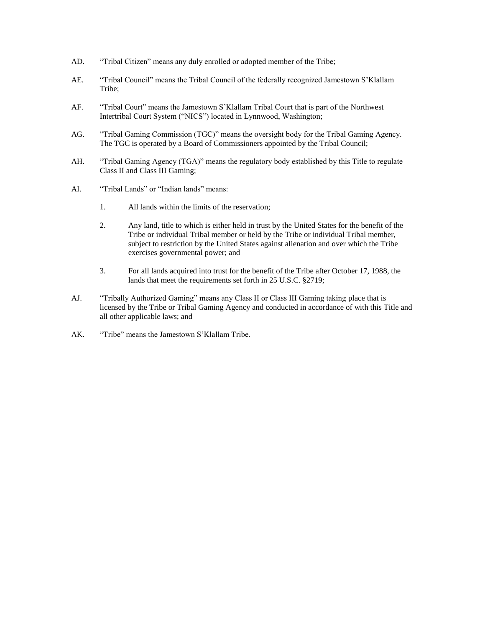- AD. "Tribal Citizen" means any duly enrolled or adopted member of the Tribe;
- AE. "Tribal Council" means the Tribal Council of the federally recognized Jamestown S'Klallam Tribe;
- AF. "Tribal Court" means the Jamestown S'Klallam Tribal Court that is part of the Northwest Intertribal Court System ("NICS") located in Lynnwood, Washington;
- AG. "Tribal Gaming Commission (TGC)" means the oversight body for the Tribal Gaming Agency. The TGC is operated by a Board of Commissioners appointed by the Tribal Council;
- AH. "Tribal Gaming Agency (TGA)" means the regulatory body established by this Title to regulate Class II and Class III Gaming;
- AI. "Tribal Lands" or "Indian lands" means:
	- 1. All lands within the limits of the reservation;
	- 2. Any land, title to which is either held in trust by the United States for the benefit of the Tribe or individual Tribal member or held by the Tribe or individual Tribal member, subject to restriction by the United States against alienation and over which the Tribe exercises governmental power; and
	- 3. For all lands acquired into trust for the benefit of the Tribe after October 17, 1988, the lands that meet the requirements set forth in 25 U.S.C. §2719;
- AJ. "Tribally Authorized Gaming" means any Class II or Class III Gaming taking place that is licensed by the Tribe or Tribal Gaming Agency and conducted in accordance of with this Title and all other applicable laws; and
- AK. "Tribe" means the Jamestown S'Klallam Tribe.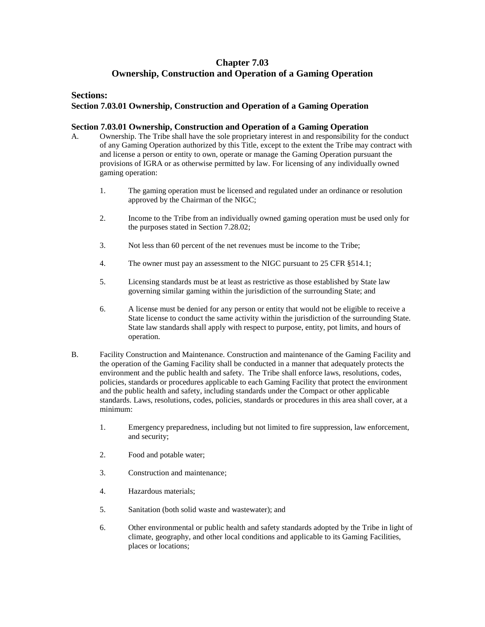## **Chapter 7.03 Ownership, Construction and Operation of a Gaming Operation**

#### **Sections:**

#### **Section 7.03.01 Ownership, Construction and Operation of a Gaming Operation**

#### **Section 7.03.01 Ownership, Construction and Operation of a Gaming Operation**

- A. Ownership. The Tribe shall have the sole proprietary interest in and responsibility for the conduct of any Gaming Operation authorized by this Title, except to the extent the Tribe may contract with and license a person or entity to own, operate or manage the Gaming Operation pursuant the provisions of IGRA or as otherwise permitted by law. For licensing of any individually owned gaming operation:
	- 1. The gaming operation must be licensed and regulated under an ordinance or resolution approved by the Chairman of the NIGC;
	- 2. Income to the Tribe from an individually owned gaming operation must be used only for the purposes stated in Section 7.28.02;
	- 3. Not less than 60 percent of the net revenues must be income to the Tribe;
	- 4. The owner must pay an assessment to the NIGC pursuant to 25 CFR §514.1;
	- 5. Licensing standards must be at least as restrictive as those established by State law governing similar gaming within the jurisdiction of the surrounding State; and
	- 6. A license must be denied for any person or entity that would not be eligible to receive a State license to conduct the same activity within the jurisdiction of the surrounding State. State law standards shall apply with respect to purpose, entity, pot limits, and hours of operation.
- B. Facility Construction and Maintenance. Construction and maintenance of the Gaming Facility and the operation of the Gaming Facility shall be conducted in a manner that adequately protects the environment and the public health and safety. The Tribe shall enforce laws, resolutions, codes, policies, standards or procedures applicable to each Gaming Facility that protect the environment and the public health and safety, including standards under the Compact or other applicable standards. Laws, resolutions, codes, policies, standards or procedures in this area shall cover, at a minimum:
	- 1. Emergency preparedness, including but not limited to fire suppression, law enforcement, and security;
	- 2. Food and potable water;
	- 3. Construction and maintenance;
	- 4. Hazardous materials;
	- 5. Sanitation (both solid waste and wastewater); and
	- 6. Other environmental or public health and safety standards adopted by the Tribe in light of climate, geography, and other local conditions and applicable to its Gaming Facilities, places or locations;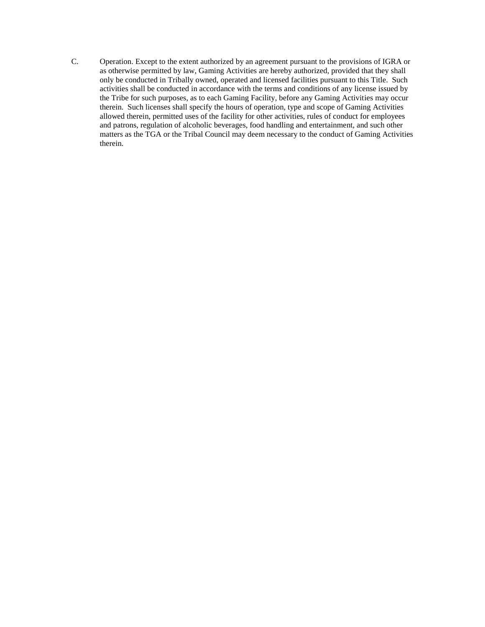C. Operation. Except to the extent authorized by an agreement pursuant to the provisions of IGRA or as otherwise permitted by law, Gaming Activities are hereby authorized, provided that they shall only be conducted in Tribally owned, operated and licensed facilities pursuant to this Title. Such activities shall be conducted in accordance with the terms and conditions of any license issued by the Tribe for such purposes, as to each Gaming Facility, before any Gaming Activities may occur therein. Such licenses shall specify the hours of operation, type and scope of Gaming Activities allowed therein, permitted uses of the facility for other activities, rules of conduct for employees and patrons, regulation of alcoholic beverages, food handling and entertainment, and such other matters as the TGA or the Tribal Council may deem necessary to the conduct of Gaming Activities therein.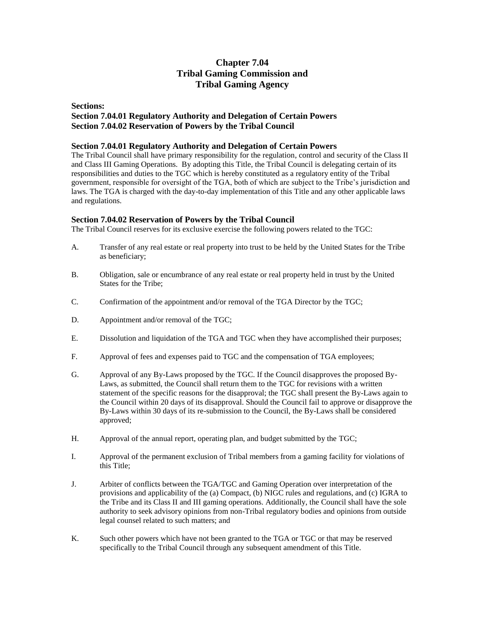## **Chapter 7.04 Tribal Gaming Commission and Tribal Gaming Agency**

#### **Sections: Section 7.04.01 Regulatory Authority and Delegation of Certain Powers Section 7.04.02 Reservation of Powers by the Tribal Council**

#### **Section 7.04.01 Regulatory Authority and Delegation of Certain Powers**

The Tribal Council shall have primary responsibility for the regulation, control and security of the Class II and Class III Gaming Operations. By adopting this Title, the Tribal Council is delegating certain of its responsibilities and duties to the TGC which is hereby constituted as a regulatory entity of the Tribal government, responsible for oversight of the TGA, both of which are subject to the Tribe's jurisdiction and laws. The TGA is charged with the day-to-day implementation of this Title and any other applicable laws and regulations.

#### **Section 7.04.02 Reservation of Powers by the Tribal Council**

The Tribal Council reserves for its exclusive exercise the following powers related to the TGC:

- A. Transfer of any real estate or real property into trust to be held by the United States for the Tribe as beneficiary;
- B. Obligation, sale or encumbrance of any real estate or real property held in trust by the United States for the Tribe;
- C. Confirmation of the appointment and/or removal of the TGA Director by the TGC;
- D. Appointment and/or removal of the TGC;
- E. Dissolution and liquidation of the TGA and TGC when they have accomplished their purposes;
- F. Approval of fees and expenses paid to TGC and the compensation of TGA employees;
- G. Approval of any By-Laws proposed by the TGC. If the Council disapproves the proposed By-Laws, as submitted, the Council shall return them to the TGC for revisions with a written statement of the specific reasons for the disapproval; the TGC shall present the By-Laws again to the Council within 20 days of its disapproval. Should the Council fail to approve or disapprove the By-Laws within 30 days of its re-submission to the Council, the By-Laws shall be considered approved;
- H. Approval of the annual report, operating plan, and budget submitted by the TGC;
- I. Approval of the permanent exclusion of Tribal members from a gaming facility for violations of this Title;
- J. Arbiter of conflicts between the TGA/TGC and Gaming Operation over interpretation of the provisions and applicability of the (a) Compact, (b) NIGC rules and regulations, and (c) IGRA to the Tribe and its Class II and III gaming operations. Additionally, the Council shall have the sole authority to seek advisory opinions from non-Tribal regulatory bodies and opinions from outside legal counsel related to such matters; and
- K. Such other powers which have not been granted to the TGA or TGC or that may be reserved specifically to the Tribal Council through any subsequent amendment of this Title.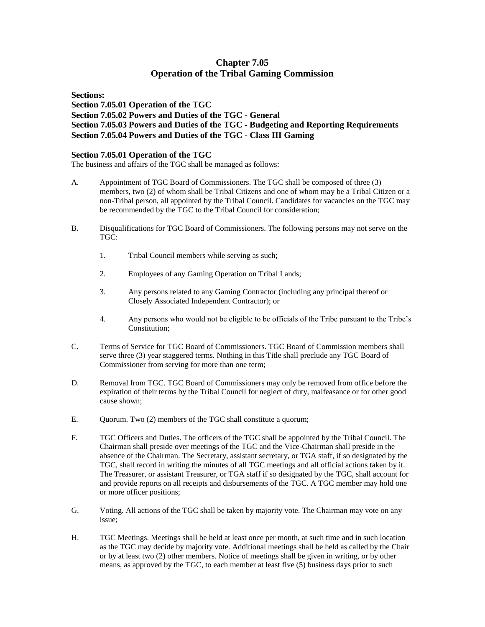## **Chapter 7.05 Operation of the Tribal Gaming Commission**

**Sections: Section 7.05.01 Operation of the TGC Section 7.05.02 Powers and Duties of the TGC - General Section 7.05.03 Powers and Duties of the TGC - Budgeting and Reporting Requirements Section 7.05.04 Powers and Duties of the TGC - Class III Gaming**

#### **Section 7.05.01 Operation of the TGC**

The business and affairs of the TGC shall be managed as follows:

- A. Appointment of TGC Board of Commissioners. The TGC shall be composed of three (3) members, two (2) of whom shall be Tribal Citizens and one of whom may be a Tribal Citizen or a non-Tribal person, all appointed by the Tribal Council. Candidates for vacancies on the TGC may be recommended by the TGC to the Tribal Council for consideration;
- B. Disqualifications for TGC Board of Commissioners. The following persons may not serve on the TGC:
	- 1. Tribal Council members while serving as such;
	- 2. Employees of any Gaming Operation on Tribal Lands;
	- 3. Any persons related to any Gaming Contractor (including any principal thereof or Closely Associated Independent Contractor); or
	- 4. Any persons who would not be eligible to be officials of the Tribe pursuant to the Tribe's Constitution;
- C. Terms of Service for TGC Board of Commissioners. TGC Board of Commission members shall serve three (3) year staggered terms. Nothing in this Title shall preclude any TGC Board of Commissioner from serving for more than one term;
- D. Removal from TGC. TGC Board of Commissioners may only be removed from office before the expiration of their terms by the Tribal Council for neglect of duty, malfeasance or for other good cause shown;
- E. Quorum. Two (2) members of the TGC shall constitute a quorum;
- F. TGC Officers and Duties. The officers of the TGC shall be appointed by the Tribal Council. The Chairman shall preside over meetings of the TGC and the Vice-Chairman shall preside in the absence of the Chairman. The Secretary, assistant secretary, or TGA staff, if so designated by the TGC, shall record in writing the minutes of all TGC meetings and all official actions taken by it. The Treasurer, or assistant Treasurer, or TGA staff if so designated by the TGC, shall account for and provide reports on all receipts and disbursements of the TGC. A TGC member may hold one or more officer positions;
- G. Voting. All actions of the TGC shall be taken by majority vote. The Chairman may vote on any issue;
- H. TGC Meetings. Meetings shall be held at least once per month, at such time and in such location as the TGC may decide by majority vote. Additional meetings shall be held as called by the Chair or by at least two (2) other members. Notice of meetings shall be given in writing, or by other means, as approved by the TGC, to each member at least five (5) business days prior to such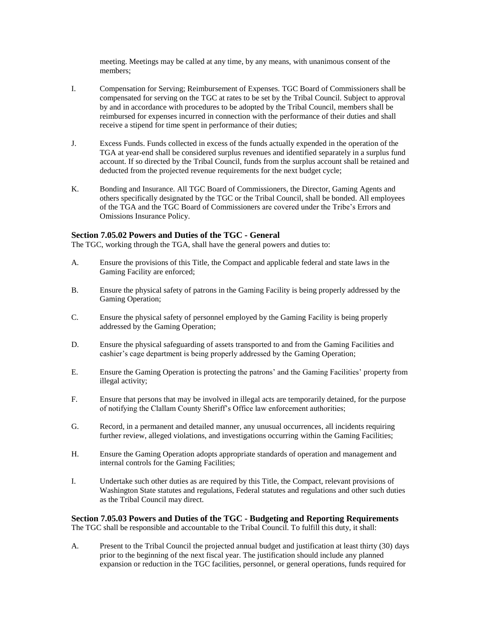meeting. Meetings may be called at any time, by any means, with unanimous consent of the members;

- I. Compensation for Serving; Reimbursement of Expenses. TGC Board of Commissioners shall be compensated for serving on the TGC at rates to be set by the Tribal Council. Subject to approval by and in accordance with procedures to be adopted by the Tribal Council, members shall be reimbursed for expenses incurred in connection with the performance of their duties and shall receive a stipend for time spent in performance of their duties;
- J. Excess Funds. Funds collected in excess of the funds actually expended in the operation of the TGA at year-end shall be considered surplus revenues and identified separately in a surplus fund account. If so directed by the Tribal Council, funds from the surplus account shall be retained and deducted from the projected revenue requirements for the next budget cycle;
- K. Bonding and Insurance. All TGC Board of Commissioners, the Director, Gaming Agents and others specifically designated by the TGC or the Tribal Council, shall be bonded. All employees of the TGA and the TGC Board of Commissioners are covered under the Tribe's Errors and Omissions Insurance Policy.

#### **Section 7.05.02 Powers and Duties of the TGC - General**

The TGC, working through the TGA, shall have the general powers and duties to:

- A. Ensure the provisions of this Title, the Compact and applicable federal and state laws in the Gaming Facility are enforced;
- B. Ensure the physical safety of patrons in the Gaming Facility is being properly addressed by the Gaming Operation;
- C. Ensure the physical safety of personnel employed by the Gaming Facility is being properly addressed by the Gaming Operation;
- D. Ensure the physical safeguarding of assets transported to and from the Gaming Facilities and cashier's cage department is being properly addressed by the Gaming Operation;
- E. Ensure the Gaming Operation is protecting the patrons' and the Gaming Facilities' property from illegal activity;
- F. Ensure that persons that may be involved in illegal acts are temporarily detained, for the purpose of notifying the Clallam County Sheriff's Office law enforcement authorities;
- G. Record, in a permanent and detailed manner, any unusual occurrences, all incidents requiring further review, alleged violations, and investigations occurring within the Gaming Facilities;
- H. Ensure the Gaming Operation adopts appropriate standards of operation and management and internal controls for the Gaming Facilities;
- I. Undertake such other duties as are required by this Title, the Compact, relevant provisions of Washington State statutes and regulations, Federal statutes and regulations and other such duties as the Tribal Council may direct.

**Section 7.05.03 Powers and Duties of the TGC - Budgeting and Reporting Requirements** The TGC shall be responsible and accountable to the Tribal Council. To fulfill this duty, it shall:

A. Present to the Tribal Council the projected annual budget and justification at least thirty (30) days prior to the beginning of the next fiscal year. The justification should include any planned expansion or reduction in the TGC facilities, personnel, or general operations, funds required for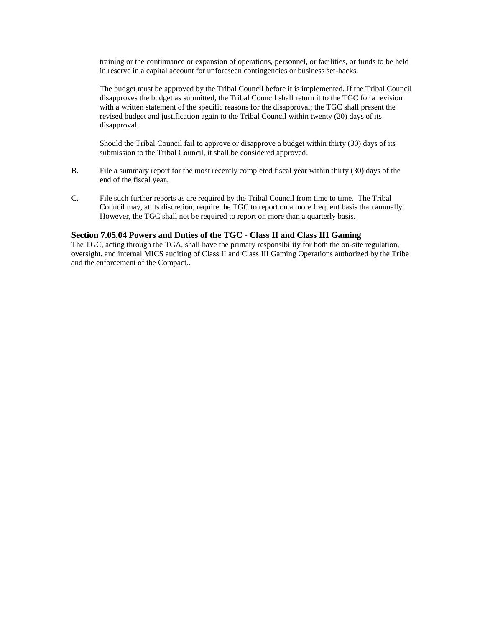training or the continuance or expansion of operations, personnel, or facilities, or funds to be held in reserve in a capital account for unforeseen contingencies or business set-backs.

The budget must be approved by the Tribal Council before it is implemented. If the Tribal Council disapproves the budget as submitted, the Tribal Council shall return it to the TGC for a revision with a written statement of the specific reasons for the disapproval; the TGC shall present the revised budget and justification again to the Tribal Council within twenty (20) days of its disapproval.

Should the Tribal Council fail to approve or disapprove a budget within thirty (30) days of its submission to the Tribal Council, it shall be considered approved.

- B. File a summary report for the most recently completed fiscal year within thirty (30) days of the end of the fiscal year.
- C. File such further reports as are required by the Tribal Council from time to time. The Tribal Council may, at its discretion, require the TGC to report on a more frequent basis than annually. However, the TGC shall not be required to report on more than a quarterly basis.

#### **Section 7.05.04 Powers and Duties of the TGC - Class II and Class III Gaming**

The TGC, acting through the TGA, shall have the primary responsibility for both the on-site regulation, oversight, and internal MICS auditing of Class II and Class III Gaming Operations authorized by the Tribe and the enforcement of the Compact..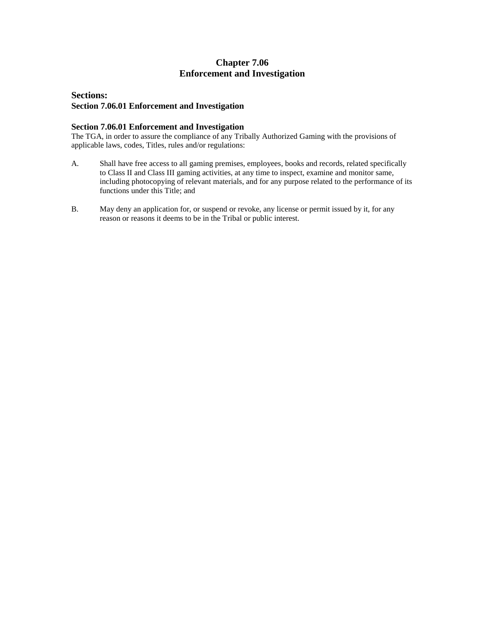## **Chapter 7.06 Enforcement and Investigation**

### **Sections: Section 7.06.01 Enforcement and Investigation**

#### **Section 7.06.01 Enforcement and Investigation**

The TGA, in order to assure the compliance of any Tribally Authorized Gaming with the provisions of applicable laws, codes, Titles, rules and/or regulations:

- A. Shall have free access to all gaming premises, employees, books and records, related specifically to Class II and Class III gaming activities, at any time to inspect, examine and monitor same, including photocopying of relevant materials, and for any purpose related to the performance of its functions under this Title; and
- B. May deny an application for, or suspend or revoke, any license or permit issued by it, for any reason or reasons it deems to be in the Tribal or public interest.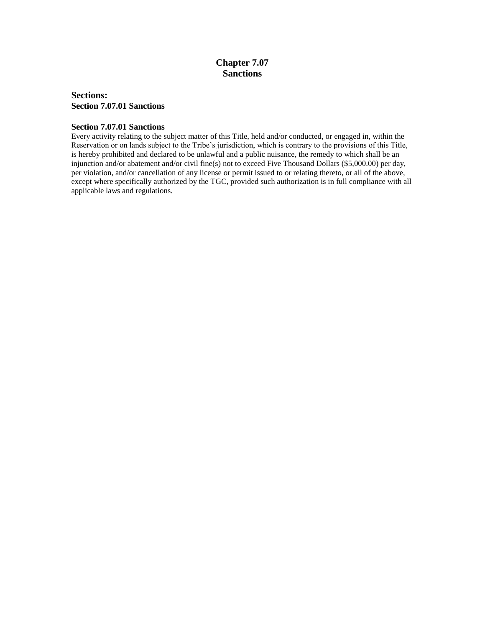## **Chapter 7.07 Sanctions**

**Sections: Section 7.07.01 Sanctions**

#### **Section 7.07.01 Sanctions**

Every activity relating to the subject matter of this Title, held and/or conducted, or engaged in, within the Reservation or on lands subject to the Tribe's jurisdiction, which is contrary to the provisions of this Title, is hereby prohibited and declared to be unlawful and a public nuisance, the remedy to which shall be an injunction and/or abatement and/or civil fine(s) not to exceed Five Thousand Dollars (\$5,000.00) per day, per violation, and/or cancellation of any license or permit issued to or relating thereto, or all of the above, except where specifically authorized by the TGC, provided such authorization is in full compliance with all applicable laws and regulations.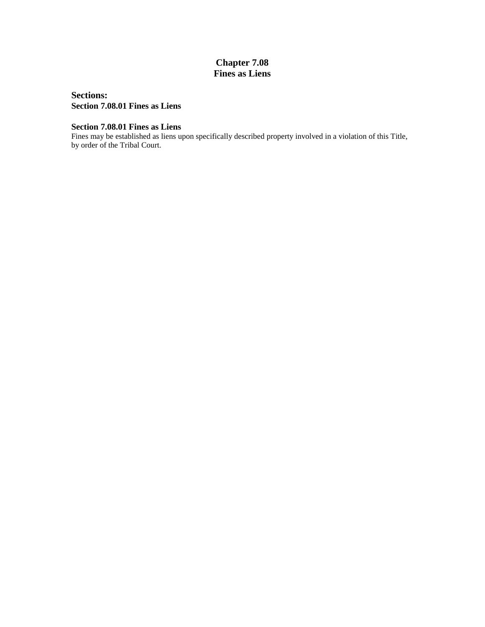## **Chapter 7.08 Fines as Liens**

**Sections: Section 7.08.01 Fines as Liens**

### **Section 7.08.01 Fines as Liens**

Fines may be established as liens upon specifically described property involved in a violation of this Title, by order of the Tribal Court.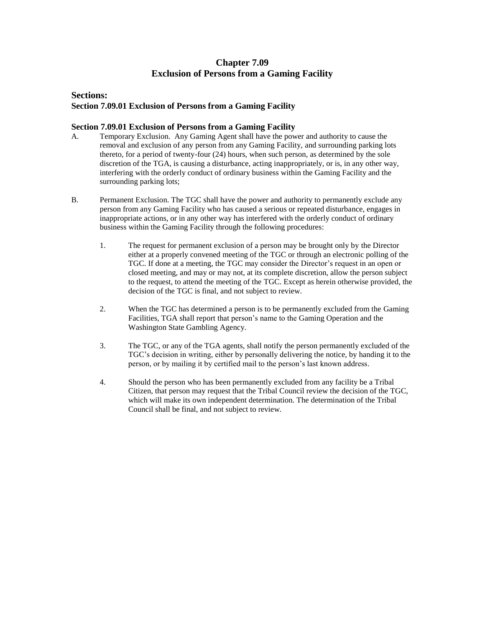## **Chapter 7.09 Exclusion of Persons from a Gaming Facility**

#### **Sections: Section 7.09.01 Exclusion of Persons from a Gaming Facility**

#### **Section 7.09.01 Exclusion of Persons from a Gaming Facility**

- A. Temporary Exclusion. Any Gaming Agent shall have the power and authority to cause the removal and exclusion of any person from any Gaming Facility, and surrounding parking lots thereto, for a period of twenty-four (24) hours, when such person, as determined by the sole discretion of the TGA, is causing a disturbance, acting inappropriately, or is, in any other way, interfering with the orderly conduct of ordinary business within the Gaming Facility and the surrounding parking lots;
- B. Permanent Exclusion. The TGC shall have the power and authority to permanently exclude any person from any Gaming Facility who has caused a serious or repeated disturbance, engages in inappropriate actions, or in any other way has interfered with the orderly conduct of ordinary business within the Gaming Facility through the following procedures:
	- 1. The request for permanent exclusion of a person may be brought only by the Director either at a properly convened meeting of the TGC or through an electronic polling of the TGC. If done at a meeting, the TGC may consider the Director's request in an open or closed meeting, and may or may not, at its complete discretion, allow the person subject to the request, to attend the meeting of the TGC. Except as herein otherwise provided, the decision of the TGC is final, and not subject to review.
	- 2. When the TGC has determined a person is to be permanently excluded from the Gaming Facilities, TGA shall report that person's name to the Gaming Operation and the Washington State Gambling Agency.
	- 3. The TGC, or any of the TGA agents, shall notify the person permanently excluded of the TGC's decision in writing, either by personally delivering the notice, by handing it to the person, or by mailing it by certified mail to the person's last known address.
	- 4. Should the person who has been permanently excluded from any facility be a Tribal Citizen, that person may request that the Tribal Council review the decision of the TGC, which will make its own independent determination. The determination of the Tribal Council shall be final, and not subject to review.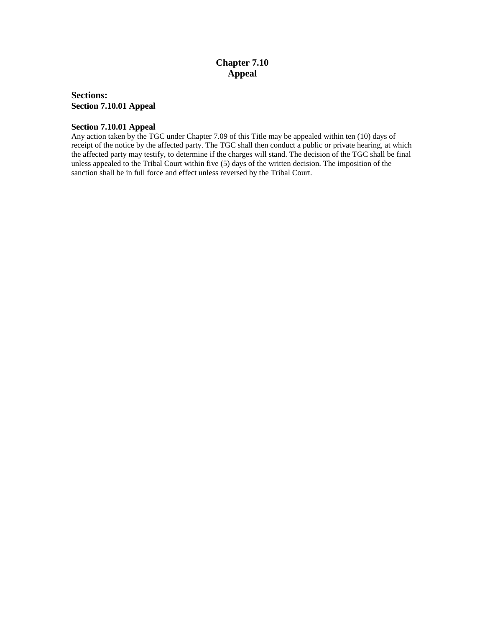## **Chapter 7.10 Appeal**

**Sections: Section 7.10.01 Appeal**

#### **Section 7.10.01 Appeal**

Any action taken by the TGC under Chapter 7.09 of this Title may be appealed within ten (10) days of receipt of the notice by the affected party. The TGC shall then conduct a public or private hearing, at which the affected party may testify, to determine if the charges will stand. The decision of the TGC shall be final unless appealed to the Tribal Court within five (5) days of the written decision. The imposition of the sanction shall be in full force and effect unless reversed by the Tribal Court.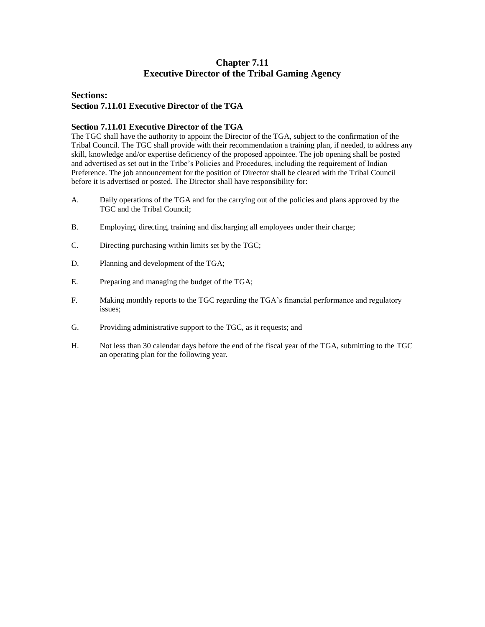## **Chapter 7.11 Executive Director of the Tribal Gaming Agency**

#### **Sections: Section 7.11.01 Executive Director of the TGA**

#### **Section 7.11.01 Executive Director of the TGA**

The TGC shall have the authority to appoint the Director of the TGA, subject to the confirmation of the Tribal Council. The TGC shall provide with their recommendation a training plan, if needed, to address any skill, knowledge and/or expertise deficiency of the proposed appointee. The job opening shall be posted and advertised as set out in the Tribe's Policies and Procedures, including the requirement of Indian Preference. The job announcement for the position of Director shall be cleared with the Tribal Council before it is advertised or posted. The Director shall have responsibility for:

- A. Daily operations of the TGA and for the carrying out of the policies and plans approved by the TGC and the Tribal Council;
- B. Employing, directing, training and discharging all employees under their charge;
- C. Directing purchasing within limits set by the TGC;
- D. Planning and development of the TGA;
- E. Preparing and managing the budget of the TGA;
- F. Making monthly reports to the TGC regarding the TGA's financial performance and regulatory issues;
- G. Providing administrative support to the TGC, as it requests; and
- H. Not less than 30 calendar days before the end of the fiscal year of the TGA, submitting to the TGC an operating plan for the following year.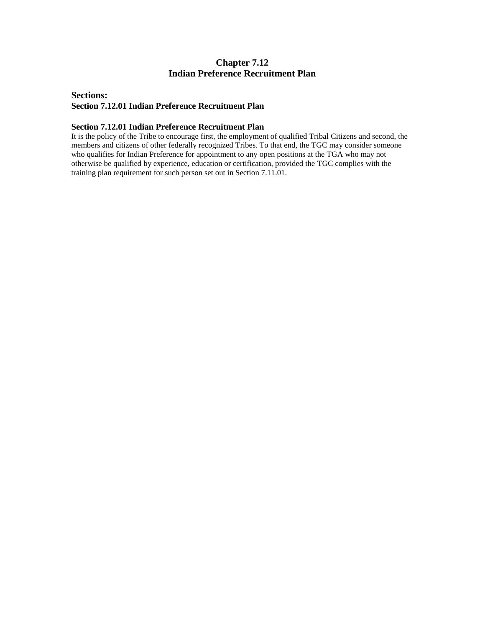## **Chapter 7.12 Indian Preference Recruitment Plan**

#### **Sections: Section 7.12.01 Indian Preference Recruitment Plan**

#### **Section 7.12.01 Indian Preference Recruitment Plan**

It is the policy of the Tribe to encourage first, the employment of qualified Tribal Citizens and second, the members and citizens of other federally recognized Tribes. To that end, the TGC may consider someone who qualifies for Indian Preference for appointment to any open positions at the TGA who may not otherwise be qualified by experience, education or certification, provided the TGC complies with the training plan requirement for such person set out in Section 7.11.01.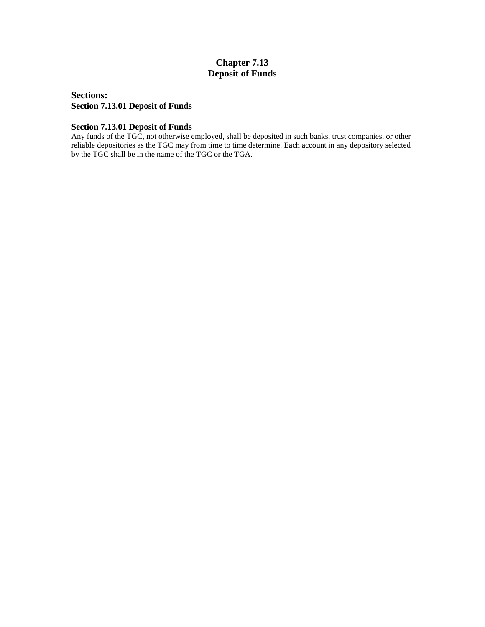## **Chapter 7.13 Deposit of Funds**

**Sections: Section 7.13.01 Deposit of Funds**

#### **Section 7.13.01 Deposit of Funds**

Any funds of the TGC, not otherwise employed, shall be deposited in such banks, trust companies, or other reliable depositories as the TGC may from time to time determine. Each account in any depository selected by the TGC shall be in the name of the TGC or the TGA.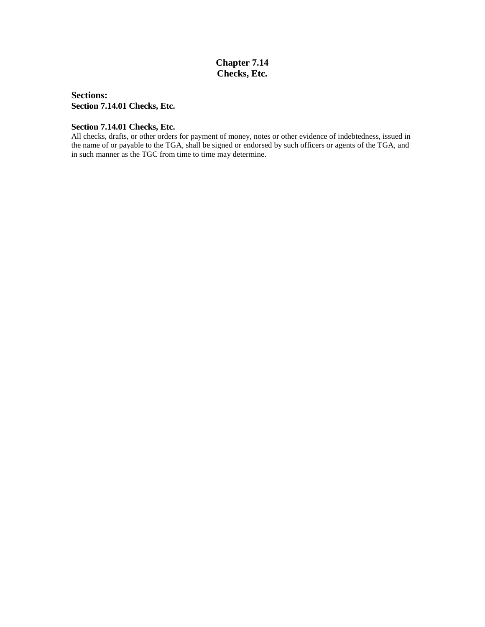## **Chapter 7.14 Checks, Etc.**

**Sections: Section 7.14.01 Checks, Etc.**

#### **Section 7.14.01 Checks, Etc.**

All checks, drafts, or other orders for payment of money, notes or other evidence of indebtedness, issued in the name of or payable to the TGA, shall be signed or endorsed by such officers or agents of the TGA, and in such manner as the TGC from time to time may determine.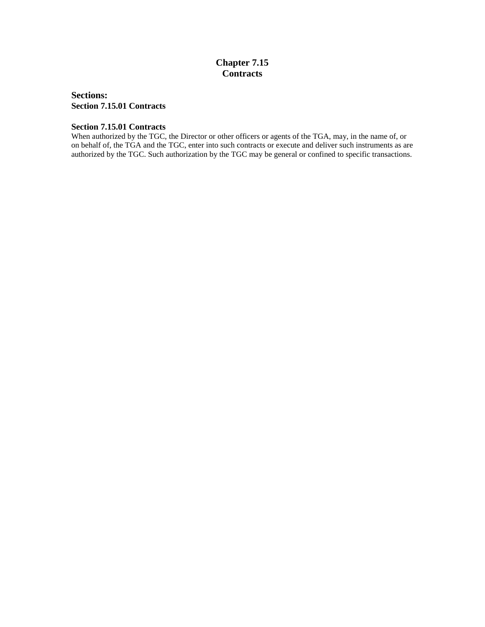## **Chapter 7.15 Contracts**

**Sections: Section 7.15.01 Contracts**

#### **Section 7.15.01 Contracts**

When authorized by the TGC, the Director or other officers or agents of the TGA, may, in the name of, or on behalf of, the TGA and the TGC, enter into such contracts or execute and deliver such instruments as are authorized by the TGC. Such authorization by the TGC may be general or confined to specific transactions.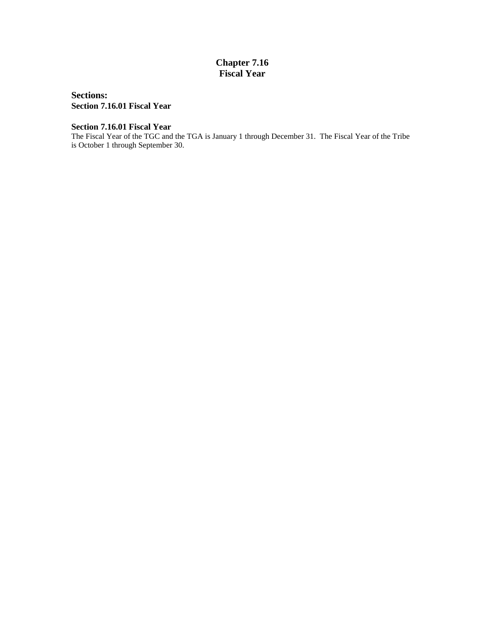## **Chapter 7.16 Fiscal Year**

**Sections: Section 7.16.01 Fiscal Year**

**Section 7.16.01 Fiscal Year**

The Fiscal Year of the TGC and the TGA is January 1 through December 31. The Fiscal Year of the Tribe is October 1 through September 30.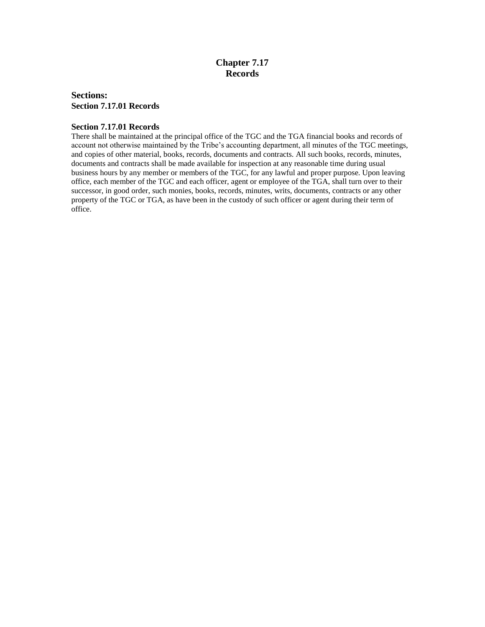## **Chapter 7.17 Records**

#### **Sections: Section 7.17.01 Records**

#### **Section 7.17.01 Records**

There shall be maintained at the principal office of the TGC and the TGA financial books and records of account not otherwise maintained by the Tribe's accounting department, all minutes of the TGC meetings, and copies of other material, books, records, documents and contracts. All such books, records, minutes, documents and contracts shall be made available for inspection at any reasonable time during usual business hours by any member or members of the TGC, for any lawful and proper purpose. Upon leaving office, each member of the TGC and each officer, agent or employee of the TGA, shall turn over to their successor, in good order, such monies, books, records, minutes, writs, documents, contracts or any other property of the TGC or TGA, as have been in the custody of such officer or agent during their term of office.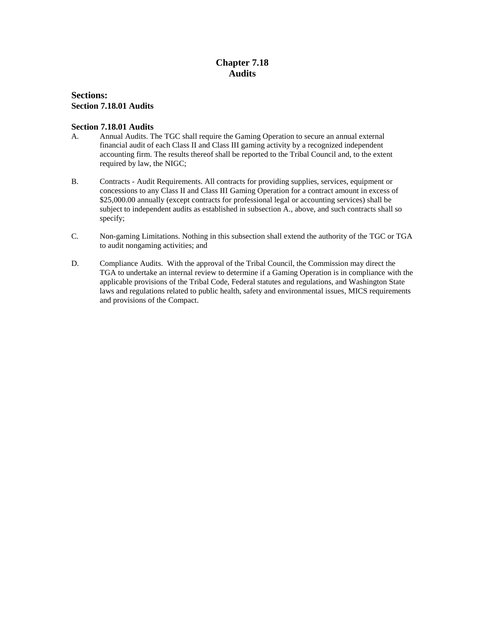## **Chapter 7.18 Audits**

#### **Sections: Section 7.18.01 Audits**

#### **Section 7.18.01 Audits**

- A. Annual Audits. The TGC shall require the Gaming Operation to secure an annual external financial audit of each Class II and Class III gaming activity by a recognized independent accounting firm. The results thereof shall be reported to the Tribal Council and, to the extent required by law, the NIGC;
- B. Contracts Audit Requirements. All contracts for providing supplies, services, equipment or concessions to any Class II and Class III Gaming Operation for a contract amount in excess of \$25,000.00 annually (except contracts for professional legal or accounting services) shall be subject to independent audits as established in subsection A., above, and such contracts shall so specify;
- C. Non-gaming Limitations. Nothing in this subsection shall extend the authority of the TGC or TGA to audit nongaming activities; and
- D. Compliance Audits. With the approval of the Tribal Council, the Commission may direct the TGA to undertake an internal review to determine if a Gaming Operation is in compliance with the applicable provisions of the Tribal Code, Federal statutes and regulations, and Washington State laws and regulations related to public health, safety and environmental issues, MICS requirements and provisions of the Compact.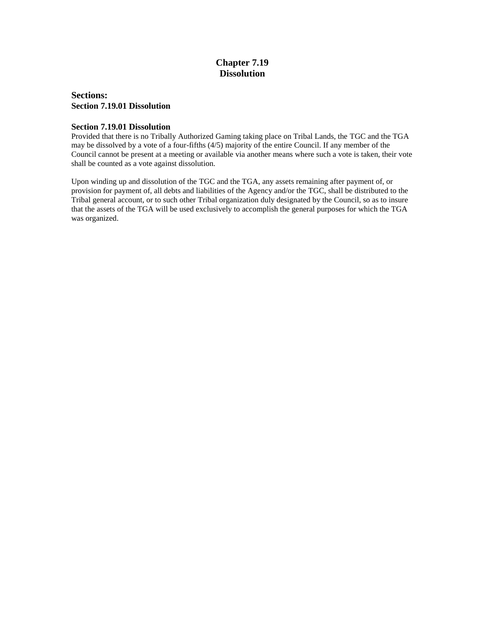## **Chapter 7.19 Dissolution**

#### **Sections: Section 7.19.01 Dissolution**

#### **Section 7.19.01 Dissolution**

Provided that there is no Tribally Authorized Gaming taking place on Tribal Lands, the TGC and the TGA may be dissolved by a vote of a four-fifths (4/5) majority of the entire Council. If any member of the Council cannot be present at a meeting or available via another means where such a vote is taken, their vote shall be counted as a vote against dissolution.

Upon winding up and dissolution of the TGC and the TGA, any assets remaining after payment of, or provision for payment of, all debts and liabilities of the Agency and/or the TGC, shall be distributed to the Tribal general account, or to such other Tribal organization duly designated by the Council, so as to insure that the assets of the TGA will be used exclusively to accomplish the general purposes for which the TGA was organized.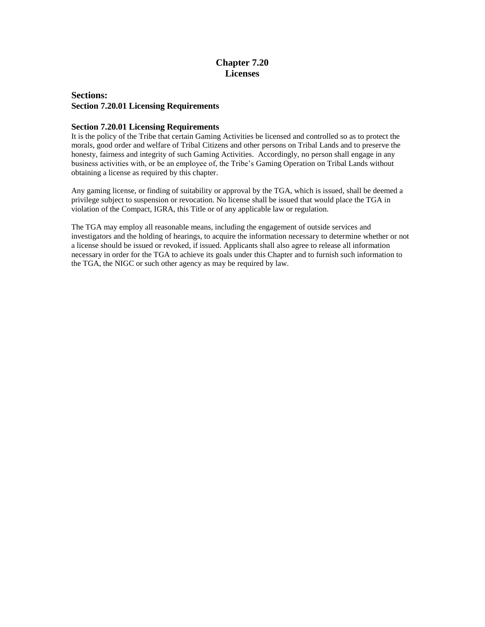### **Chapter 7.20 Licenses**

#### **Sections: Section 7.20.01 Licensing Requirements**

#### **Section 7.20.01 Licensing Requirements**

It is the policy of the Tribe that certain Gaming Activities be licensed and controlled so as to protect the morals, good order and welfare of Tribal Citizens and other persons on Tribal Lands and to preserve the honesty, fairness and integrity of such Gaming Activities. Accordingly, no person shall engage in any business activities with, or be an employee of, the Tribe's Gaming Operation on Tribal Lands without obtaining a license as required by this chapter.

Any gaming license, or finding of suitability or approval by the TGA, which is issued, shall be deemed a privilege subject to suspension or revocation. No license shall be issued that would place the TGA in violation of the Compact, IGRA, this Title or of any applicable law or regulation.

The TGA may employ all reasonable means, including the engagement of outside services and investigators and the holding of hearings, to acquire the information necessary to determine whether or not a license should be issued or revoked, if issued. Applicants shall also agree to release all information necessary in order for the TGA to achieve its goals under this Chapter and to furnish such information to the TGA, the NIGC or such other agency as may be required by law.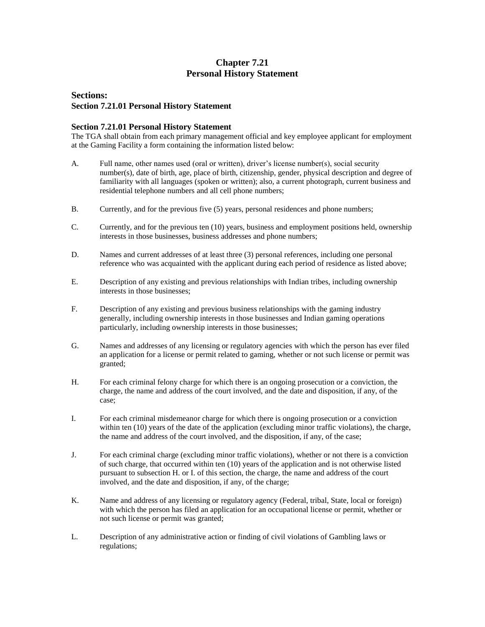## **Chapter 7.21 Personal History Statement**

#### **Sections: Section 7.21.01 Personal History Statement**

#### **Section 7.21.01 Personal History Statement**

The TGA shall obtain from each primary management official and key employee applicant for employment at the Gaming Facility a form containing the information listed below:

- A. Full name, other names used (oral or written), driver's license number(s), social security number(s), date of birth, age, place of birth, citizenship, gender, physical description and degree of familiarity with all languages (spoken or written); also, a current photograph, current business and residential telephone numbers and all cell phone numbers;
- B. Currently, and for the previous five (5) years, personal residences and phone numbers;
- C. Currently, and for the previous ten (10) years, business and employment positions held, ownership interests in those businesses, business addresses and phone numbers;
- D. Names and current addresses of at least three (3) personal references, including one personal reference who was acquainted with the applicant during each period of residence as listed above;
- E. Description of any existing and previous relationships with Indian tribes, including ownership interests in those businesses;
- F. Description of any existing and previous business relationships with the gaming industry generally, including ownership interests in those businesses and Indian gaming operations particularly, including ownership interests in those businesses;
- G. Names and addresses of any licensing or regulatory agencies with which the person has ever filed an application for a license or permit related to gaming, whether or not such license or permit was granted;
- H. For each criminal felony charge for which there is an ongoing prosecution or a conviction, the charge, the name and address of the court involved, and the date and disposition, if any, of the case;
- I. For each criminal misdemeanor charge for which there is ongoing prosecution or a conviction within ten (10) years of the date of the application (excluding minor traffic violations), the charge, the name and address of the court involved, and the disposition, if any, of the case;
- J. For each criminal charge (excluding minor traffic violations), whether or not there is a conviction of such charge, that occurred within ten (10) years of the application and is not otherwise listed pursuant to subsection H. or I. of this section, the charge, the name and address of the court involved, and the date and disposition, if any, of the charge;
- K. Name and address of any licensing or regulatory agency (Federal, tribal, State, local or foreign) with which the person has filed an application for an occupational license or permit, whether or not such license or permit was granted;
- L. Description of any administrative action or finding of civil violations of Gambling laws or regulations;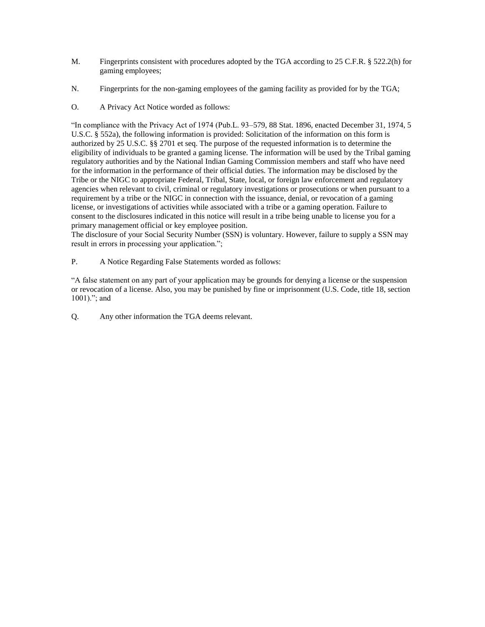- M. Fingerprints consistent with procedures adopted by the TGA according to 25 C.F.R. § 522.2(h) for gaming employees;
- N. Fingerprints for the non-gaming employees of the gaming facility as provided for by the TGA;
- O. A Privacy Act Notice worded as follows:

"In compliance with the Privacy Act of 1974 (Pub.L. 93–579, 88 Stat. 1896, enacted December 31, 1974, 5 U.S.C. § 552a), the following information is provided: Solicitation of the information on this form is authorized by 25 U.S.C. §§ 2701 et seq. The purpose of the requested information is to determine the eligibility of individuals to be granted a gaming license. The information will be used by the Tribal gaming regulatory authorities and by the National Indian Gaming Commission members and staff who have need for the information in the performance of their official duties. The information may be disclosed by the Tribe or the NIGC to appropriate Federal, Tribal, State, local, or foreign law enforcement and regulatory agencies when relevant to civil, criminal or regulatory investigations or prosecutions or when pursuant to a requirement by a tribe or the NIGC in connection with the issuance, denial, or revocation of a gaming license, or investigations of activities while associated with a tribe or a gaming operation. Failure to consent to the disclosures indicated in this notice will result in a tribe being unable to license you for a primary management official or key employee position.

The disclosure of your Social Security Number (SSN) is voluntary. However, failure to supply a SSN may result in errors in processing your application.";

P. A Notice Regarding False Statements worded as follows:

"A false statement on any part of your application may be grounds for denying a license or the suspension or revocation of a license. Also, you may be punished by fine or imprisonment (U.S. Code, title 18, section 1001)."; and

Q. Any other information the TGA deems relevant.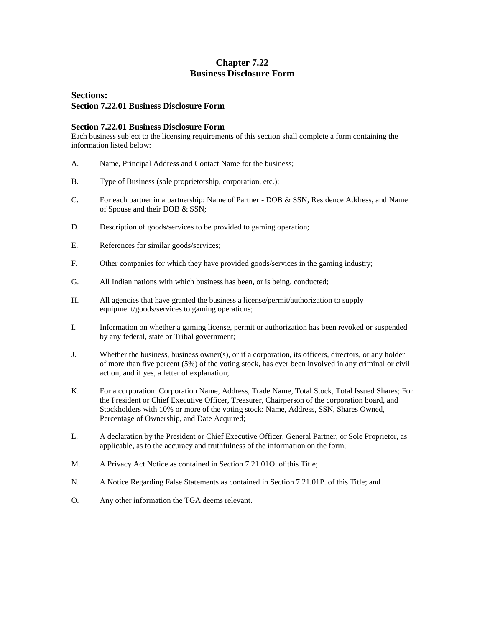## **Chapter 7.22 Business Disclosure Form**

### **Sections: Section 7.22.01 Business Disclosure Form**

#### **Section 7.22.01 Business Disclosure Form**

Each business subject to the licensing requirements of this section shall complete a form containing the information listed below:

- A. Name, Principal Address and Contact Name for the business;
- B. Type of Business (sole proprietorship, corporation, etc.);
- C. For each partner in a partnership: Name of Partner DOB & SSN, Residence Address, and Name of Spouse and their DOB & SSN;
- D. Description of goods/services to be provided to gaming operation;
- E. References for similar goods/services;
- F. Other companies for which they have provided goods/services in the gaming industry;
- G. All Indian nations with which business has been, or is being, conducted;
- H. All agencies that have granted the business a license/permit/authorization to supply equipment/goods/services to gaming operations;
- I. Information on whether a gaming license, permit or authorization has been revoked or suspended by any federal, state or Tribal government;
- J. Whether the business, business owner(s), or if a corporation, its officers, directors, or any holder of more than five percent (5%) of the voting stock, has ever been involved in any criminal or civil action, and if yes, a letter of explanation;
- K. For a corporation: Corporation Name, Address, Trade Name, Total Stock, Total Issued Shares; For the President or Chief Executive Officer, Treasurer, Chairperson of the corporation board, and Stockholders with 10% or more of the voting stock: Name, Address, SSN, Shares Owned, Percentage of Ownership, and Date Acquired;
- L. A declaration by the President or Chief Executive Officer, General Partner, or Sole Proprietor, as applicable, as to the accuracy and truthfulness of the information on the form;
- M. A Privacy Act Notice as contained in Section 7.21.01O. of this Title;
- N. A Notice Regarding False Statements as contained in Section 7.21.01P. of this Title; and
- O. Any other information the TGA deems relevant.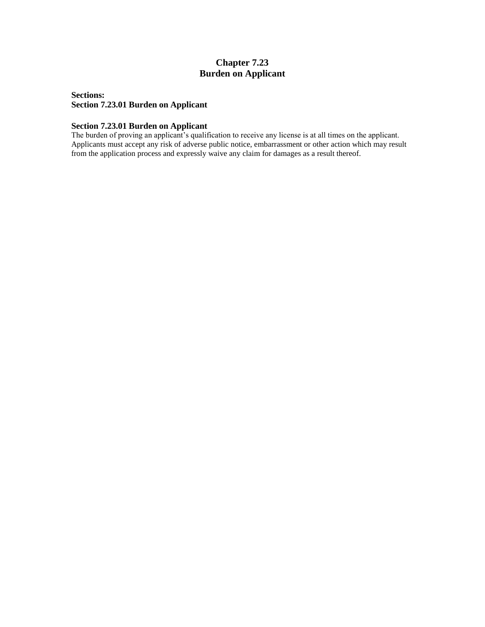## **Chapter 7.23 Burden on Applicant**

### **Sections: Section 7.23.01 Burden on Applicant**

#### **Section 7.23.01 Burden on Applicant**

The burden of proving an applicant's qualification to receive any license is at all times on the applicant. Applicants must accept any risk of adverse public notice, embarrassment or other action which may result from the application process and expressly waive any claim for damages as a result thereof.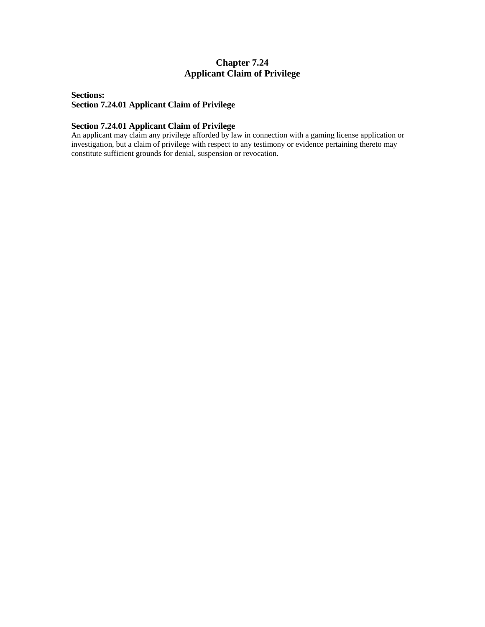## **Chapter 7.24 Applicant Claim of Privilege**

### **Sections: Section 7.24.01 Applicant Claim of Privilege**

#### **Section 7.24.01 Applicant Claim of Privilege**

An applicant may claim any privilege afforded by law in connection with a gaming license application or investigation, but a claim of privilege with respect to any testimony or evidence pertaining thereto may constitute sufficient grounds for denial, suspension or revocation.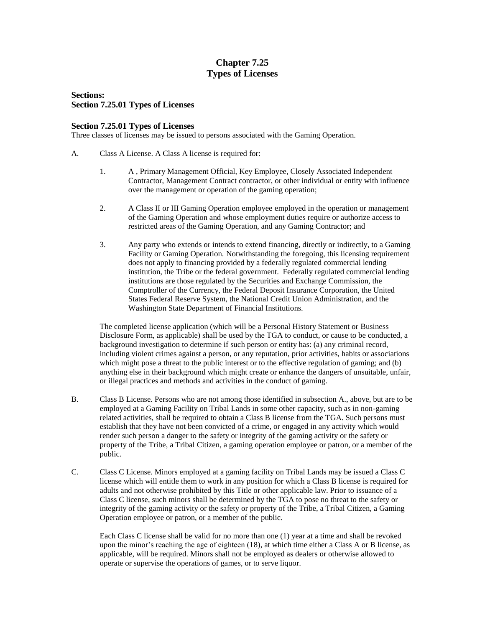## **Chapter 7.25 Types of Licenses**

**Sections: Section 7.25.01 Types of Licenses**

#### **Section 7.25.01 Types of Licenses**

Three classes of licenses may be issued to persons associated with the Gaming Operation.

- A. Class A License. A Class A license is required for:
	- 1. A , Primary Management Official, Key Employee, Closely Associated Independent Contractor, Management Contract contractor, or other individual or entity with influence over the management or operation of the gaming operation;
	- 2. A Class II or III Gaming Operation employee employed in the operation or management of the Gaming Operation and whose employment duties require or authorize access to restricted areas of the Gaming Operation, and any Gaming Contractor; and
	- 3. Any party who extends or intends to extend financing, directly or indirectly, to a Gaming Facility or Gaming Operation. Notwithstanding the foregoing, this licensing requirement does not apply to financing provided by a federally regulated commercial lending institution, the Tribe or the federal government. Federally regulated commercial lending institutions are those regulated by the Securities and Exchange Commission, the Comptroller of the Currency, the Federal Deposit Insurance Corporation, the United States Federal Reserve System, the National Credit Union Administration, and the Washington State Department of Financial Institutions.

The completed license application (which will be a Personal History Statement or Business Disclosure Form, as applicable) shall be used by the TGA to conduct, or cause to be conducted, a background investigation to determine if such person or entity has: (a) any criminal record, including violent crimes against a person, or any reputation, prior activities, habits or associations which might pose a threat to the public interest or to the effective regulation of gaming; and (b) anything else in their background which might create or enhance the dangers of unsuitable, unfair, or illegal practices and methods and activities in the conduct of gaming.

- B. Class B License. Persons who are not among those identified in subsection A., above, but are to be employed at a Gaming Facility on Tribal Lands in some other capacity, such as in non-gaming related activities, shall be required to obtain a Class B license from the TGA. Such persons must establish that they have not been convicted of a crime, or engaged in any activity which would render such person a danger to the safety or integrity of the gaming activity or the safety or property of the Tribe, a Tribal Citizen, a gaming operation employee or patron, or a member of the public.
- C. Class C License. Minors employed at a gaming facility on Tribal Lands may be issued a Class C license which will entitle them to work in any position for which a Class B license is required for adults and not otherwise prohibited by this Title or other applicable law. Prior to issuance of a Class C license, such minors shall be determined by the TGA to pose no threat to the safety or integrity of the gaming activity or the safety or property of the Tribe, a Tribal Citizen, a Gaming Operation employee or patron, or a member of the public.

Each Class C license shall be valid for no more than one (1) year at a time and shall be revoked upon the minor's reaching the age of eighteen (18), at which time either a Class A or B license, as applicable, will be required. Minors shall not be employed as dealers or otherwise allowed to operate or supervise the operations of games, or to serve liquor.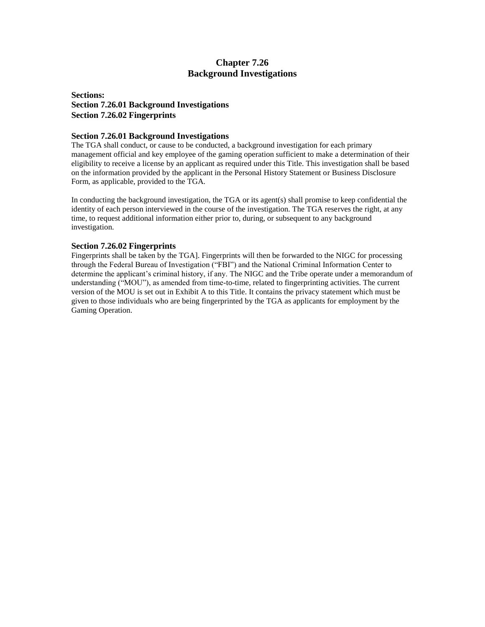### **Chapter 7.26 Background Investigations**

### **Sections: Section 7.26.01 Background Investigations Section 7.26.02 Fingerprints**

#### **Section 7.26.01 Background Investigations**

The TGA shall conduct, or cause to be conducted, a background investigation for each primary management official and key employee of the gaming operation sufficient to make a determination of their eligibility to receive a license by an applicant as required under this Title. This investigation shall be based on the information provided by the applicant in the Personal History Statement or Business Disclosure Form, as applicable, provided to the TGA.

In conducting the background investigation, the TGA or its agent(s) shall promise to keep confidential the identity of each person interviewed in the course of the investigation. The TGA reserves the right, at any time, to request additional information either prior to, during, or subsequent to any background investigation.

#### **Section 7.26.02 Fingerprints**

Fingerprints shall be taken by the TGA]. Fingerprints will then be forwarded to the NIGC for processing through the Federal Bureau of Investigation ("FBI") and the National Criminal Information Center to determine the applicant's criminal history, if any. The NIGC and the Tribe operate under a memorandum of understanding ("MOU"), as amended from time-to-time, related to fingerprinting activities. The current version of the MOU is set out in Exhibit A to this Title. It contains the privacy statement which must be given to those individuals who are being fingerprinted by the TGA as applicants for employment by the Gaming Operation.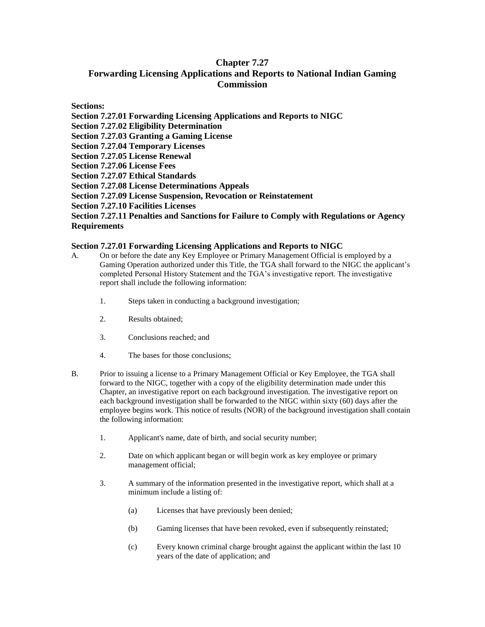## **Chapter 7.27 Forwarding Licensing Applications and Reports to National Indian Gaming Commission**

**Sections:**

**Section 7.27.01 Forwarding Licensing Applications and Reports to NIGC Section 7.27.02 Eligibility Determination Section 7.27.03 Granting a Gaming License Section 7.27.04 Temporary Licenses Section 7.27.05 License Renewal Section 7.27.06 License Fees Section 7.27.07 Ethical Standards Section 7.27.08 License Determinations Appeals Section 7.27.09 License Suspension, Revocation or Reinstatement Section 7.27.10 Facilities Licenses Section 7.27.11 Penalties and Sanctions for Failure to Comply with Regulations or Agency Requirements**

#### **Section 7.27.01 Forwarding Licensing Applications and Reports to NIGC**

- A. On or before the date any Key Employee or Primary Management Official is employed by a Gaming Operation authorized under this Title, the TGA shall forward to the NIGC the applicant's completed Personal History Statement and the TGA's investigative report. The investigative report shall include the following information:
	- 1. Steps taken in conducting a background investigation;
	- 2. Results obtained;
	- 3. Conclusions reached; and
	- 4. The bases for those conclusions;
- B. Prior to issuing a license to a Primary Management Official or Key Employee, the TGA shall forward to the NIGC, together with a copy of the eligibility determination made under this Chapter, an investigative report on each background investigation. The investigative report on each background investigation shall be forwarded to the NIGC within sixty (60) days after the employee begins work. This notice of results (NOR) of the background investigation shall contain the following information:
	- 1. Applicant's name, date of birth, and social security number;
	- 2. Date on which applicant began or will begin work as key employee or primary management official;
	- 3. A summary of the information presented in the investigative report, which shall at a minimum include a listing of:
		- (a) Licenses that have previously been denied;
		- (b) Gaming licenses that have been revoked, even if subsequently reinstated;
		- (c) Every known criminal charge brought against the applicant within the last 10 years of the date of application; and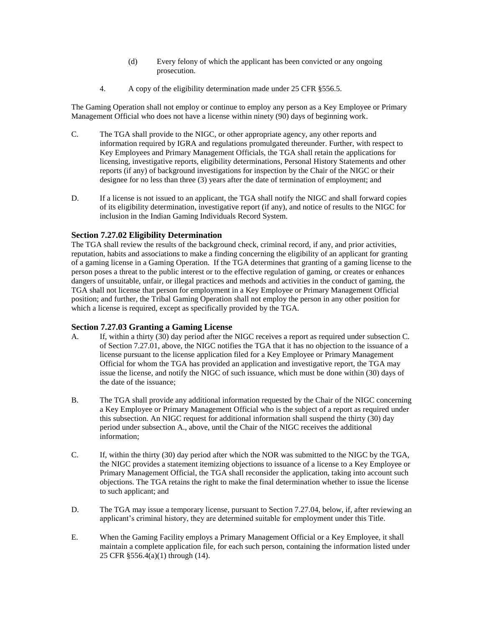- (d) Every felony of which the applicant has been convicted or any ongoing prosecution.
- 4. A copy of the eligibility determination made under 25 CFR §556.5.

The Gaming Operation shall not employ or continue to employ any person as a Key Employee or Primary Management Official who does not have a license within ninety (90) days of beginning work.

- C. The TGA shall provide to the NIGC, or other appropriate agency, any other reports and information required by IGRA and regulations promulgated thereunder. Further, with respect to Key Employees and Primary Management Officials, the TGA shall retain the applications for licensing, investigative reports, eligibility determinations, Personal History Statements and other reports (if any) of background investigations for inspection by the Chair of the NIGC or their designee for no less than three (3) years after the date of termination of employment; and
- D. If a license is not issued to an applicant, the TGA shall notify the NIGC and shall forward copies of its eligibility determination, investigative report (if any), and notice of results to the NIGC for inclusion in the Indian Gaming Individuals Record System.

#### **Section 7.27.02 Eligibility Determination**

The TGA shall review the results of the background check, criminal record, if any, and prior activities, reputation, habits and associations to make a finding concerning the eligibility of an applicant for granting of a gaming license in a Gaming Operation. If the TGA determines that granting of a gaming license to the person poses a threat to the public interest or to the effective regulation of gaming, or creates or enhances dangers of unsuitable, unfair, or illegal practices and methods and activities in the conduct of gaming, the TGA shall not license that person for employment in a Key Employee or Primary Management Official position; and further, the Tribal Gaming Operation shall not employ the person in any other position for which a license is required, except as specifically provided by the TGA.

#### **Section 7.27.03 Granting a Gaming License**

- A. If, within a thirty (30) day period after the NIGC receives a report as required under subsection C. of Section 7.27.01, above, the NIGC notifies the TGA that it has no objection to the issuance of a license pursuant to the license application filed for a Key Employee or Primary Management Official for whom the TGA has provided an application and investigative report, the TGA may issue the license, and notify the NIGC of such issuance, which must be done within (30) days of the date of the issuance;
- B. The TGA shall provide any additional information requested by the Chair of the NIGC concerning a Key Employee or Primary Management Official who is the subject of a report as required under this subsection. An NIGC request for additional information shall suspend the thirty (30) day period under subsection A., above, until the Chair of the NIGC receives the additional information;
- C. If, within the thirty (30) day period after which the NOR was submitted to the NIGC by the TGA, the NIGC provides a statement itemizing objections to issuance of a license to a Key Employee or Primary Management Official, the TGA shall reconsider the application, taking into account such objections. The TGA retains the right to make the final determination whether to issue the license to such applicant; and
- D. The TGA may issue a temporary license, pursuant to Section 7.27.04, below, if, after reviewing an applicant's criminal history, they are determined suitable for employment under this Title.
- E. When the Gaming Facility employs a Primary Management Official or a Key Employee, it shall maintain a complete application file, for each such person, containing the information listed under 25 CFR §556.4(a)(1) through (14).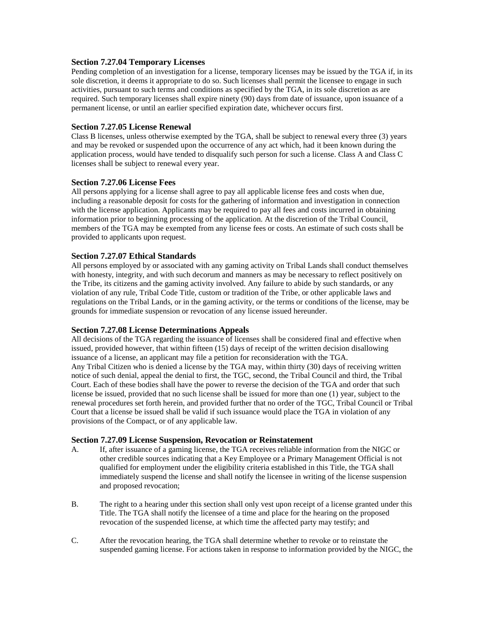#### **Section 7.27.04 Temporary Licenses**

Pending completion of an investigation for a license, temporary licenses may be issued by the TGA if, in its sole discretion, it deems it appropriate to do so. Such licenses shall permit the licensee to engage in such activities, pursuant to such terms and conditions as specified by the TGA, in its sole discretion as are required. Such temporary licenses shall expire ninety (90) days from date of issuance, upon issuance of a permanent license, or until an earlier specified expiration date, whichever occurs first.

#### **Section 7.27.05 License Renewal**

Class B licenses, unless otherwise exempted by the TGA, shall be subject to renewal every three (3) years and may be revoked or suspended upon the occurrence of any act which, had it been known during the application process, would have tended to disqualify such person for such a license. Class A and Class C licenses shall be subject to renewal every year.

#### **Section 7.27.06 License Fees**

All persons applying for a license shall agree to pay all applicable license fees and costs when due, including a reasonable deposit for costs for the gathering of information and investigation in connection with the license application. Applicants may be required to pay all fees and costs incurred in obtaining information prior to beginning processing of the application. At the discretion of the Tribal Council, members of the TGA may be exempted from any license fees or costs. An estimate of such costs shall be provided to applicants upon request.

#### **Section 7.27.07 Ethical Standards**

All persons employed by or associated with any gaming activity on Tribal Lands shall conduct themselves with honesty, integrity, and with such decorum and manners as may be necessary to reflect positively on the Tribe, its citizens and the gaming activity involved. Any failure to abide by such standards, or any violation of any rule, Tribal Code Title, custom or tradition of the Tribe, or other applicable laws and regulations on the Tribal Lands, or in the gaming activity, or the terms or conditions of the license, may be grounds for immediate suspension or revocation of any license issued hereunder.

#### **Section 7.27.08 License Determinations Appeals**

All decisions of the TGA regarding the issuance of licenses shall be considered final and effective when issued, provided however, that within fifteen (15) days of receipt of the written decision disallowing issuance of a license, an applicant may file a petition for reconsideration with the TGA. Any Tribal Citizen who is denied a license by the TGA may, within thirty (30) days of receiving written notice of such denial, appeal the denial to first, the TGC, second, the Tribal Council and third, the Tribal Court. Each of these bodies shall have the power to reverse the decision of the TGA and order that such license be issued, provided that no such license shall be issued for more than one (1) year, subject to the renewal procedures set forth herein, and provided further that no order of the TGC, Tribal Council or Tribal Court that a license be issued shall be valid if such issuance would place the TGA in violation of any provisions of the Compact, or of any applicable law.

#### **Section 7.27.09 License Suspension, Revocation or Reinstatement**

- A. If, after issuance of a gaming license, the TGA receives reliable information from the NIGC or other credible sources indicating that a Key Employee or a Primary Management Official is not qualified for employment under the eligibility criteria established in this Title, the TGA shall immediately suspend the license and shall notify the licensee in writing of the license suspension and proposed revocation;
- B. The right to a hearing under this section shall only vest upon receipt of a license granted under this Title. The TGA shall notify the licensee of a time and place for the hearing on the proposed revocation of the suspended license, at which time the affected party may testify; and
- C. After the revocation hearing, the TGA shall determine whether to revoke or to reinstate the suspended gaming license. For actions taken in response to information provided by the NIGC, the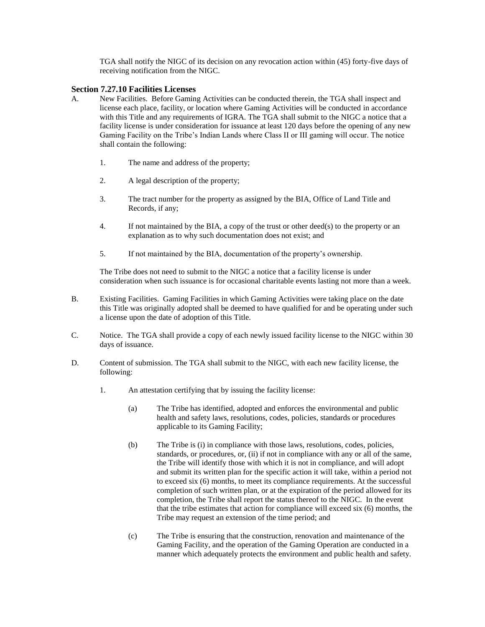TGA shall notify the NIGC of its decision on any revocation action within (45) forty-five days of receiving notification from the NIGC.

#### **Section 7.27.10 Facilities Licenses**

- A. New Facilities. Before Gaming Activities can be conducted therein, the TGA shall inspect and license each place, facility, or location where Gaming Activities will be conducted in accordance with this Title and any requirements of IGRA. The TGA shall submit to the NIGC a notice that a facility license is under consideration for issuance at least 120 days before the opening of any new Gaming Facility on the Tribe's Indian Lands where Class II or III gaming will occur. The notice shall contain the following:
	- 1. The name and address of the property;
	- 2. A legal description of the property;
	- 3. The tract number for the property as assigned by the BIA, Office of Land Title and Records, if any;
	- 4. If not maintained by the BIA, a copy of the trust or other deed(s) to the property or an explanation as to why such documentation does not exist; and
	- 5. If not maintained by the BIA, documentation of the property's ownership.

The Tribe does not need to submit to the NIGC a notice that a facility license is under consideration when such issuance is for occasional charitable events lasting not more than a week.

- B. Existing Facilities. Gaming Facilities in which Gaming Activities were taking place on the date this Title was originally adopted shall be deemed to have qualified for and be operating under such a license upon the date of adoption of this Title.
- C. Notice. The TGA shall provide a copy of each newly issued facility license to the NIGC within 30 days of issuance.
- D. Content of submission. The TGA shall submit to the NIGC, with each new facility license, the following:
	- 1. An attestation certifying that by issuing the facility license:
		- (a) The Tribe has identified, adopted and enforces the environmental and public health and safety laws, resolutions, codes, policies, standards or procedures applicable to its Gaming Facility;
		- (b) The Tribe is (i) in compliance with those laws, resolutions, codes, policies, standards, or procedures, or, (ii) if not in compliance with any or all of the same, the Tribe will identify those with which it is not in compliance, and will adopt and submit its written plan for the specific action it will take, within a period not to exceed six (6) months, to meet its compliance requirements. At the successful completion of such written plan, or at the expiration of the period allowed for its completion, the Tribe shall report the status thereof to the NIGC. In the event that the tribe estimates that action for compliance will exceed six (6) months, the Tribe may request an extension of the time period; and
		- (c) The Tribe is ensuring that the construction, renovation and maintenance of the Gaming Facility, and the operation of the Gaming Operation are conducted in a manner which adequately protects the environment and public health and safety.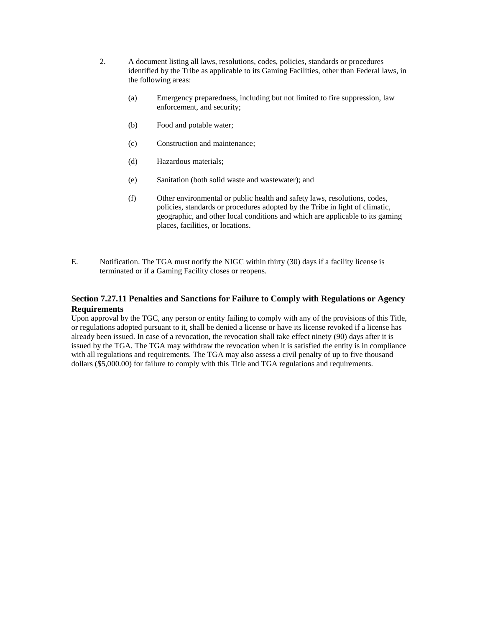- 2. A document listing all laws, resolutions, codes, policies, standards or procedures identified by the Tribe as applicable to its Gaming Facilities, other than Federal laws, in the following areas:
	- (a) Emergency preparedness, including but not limited to fire suppression, law enforcement, and security;
	- (b) Food and potable water;
	- (c) Construction and maintenance;
	- (d) Hazardous materials;
	- (e) Sanitation (both solid waste and wastewater); and
	- (f) Other environmental or public health and safety laws, resolutions, codes, policies, standards or procedures adopted by the Tribe in light of climatic, geographic, and other local conditions and which are applicable to its gaming places, facilities, or locations.
- E. Notification. The TGA must notify the NIGC within thirty (30) days if a facility license is terminated or if a Gaming Facility closes or reopens.

### **Section 7.27.11 Penalties and Sanctions for Failure to Comply with Regulations or Agency Requirements**

Upon approval by the TGC, any person or entity failing to comply with any of the provisions of this Title, or regulations adopted pursuant to it, shall be denied a license or have its license revoked if a license has already been issued. In case of a revocation, the revocation shall take effect ninety (90) days after it is issued by the TGA. The TGA may withdraw the revocation when it is satisfied the entity is in compliance with all regulations and requirements. The TGA may also assess a civil penalty of up to five thousand dollars (\$5,000.00) for failure to comply with this Title and TGA regulations and requirements.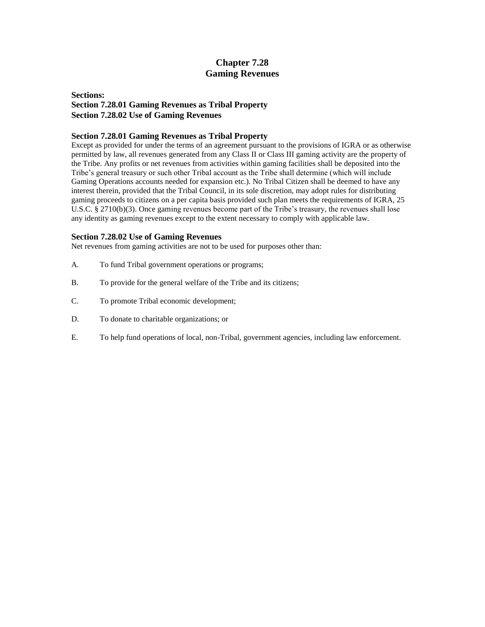## **Chapter 7.28 Gaming Revenues**

#### **Sections: Section 7.28.01 Gaming Revenues as Tribal Property Section 7.28.02 Use of Gaming Revenues**

#### **Section 7.28.01 Gaming Revenues as Tribal Property**

Except as provided for under the terms of an agreement pursuant to the provisions of IGRA or as otherwise permitted by law, all revenues generated from any Class II or Class III gaming activity are the property of the Tribe. Any profits or net revenues from activities within gaming facilities shall be deposited into the Tribe's general treasury or such other Tribal account as the Tribe shall determine (which will include Gaming Operations accounts needed for expansion etc.). No Tribal Citizen shall be deemed to have any interest therein, provided that the Tribal Council, in its sole discretion, may adopt rules for distributing gaming proceeds to citizens on a per capita basis provided such plan meets the requirements of IGRA, 25 U.S.C. § 2710(b)(3). Once gaming revenues become part of the Tribe's treasury, the revenues shall lose any identity as gaming revenues except to the extent necessary to comply with applicable law.

#### **Section 7.28.02 Use of Gaming Revenues**

Net revenues from gaming activities are not to be used for purposes other than:

- A. To fund Tribal government operations or programs;
- B. To provide for the general welfare of the Tribe and its citizens;
- C. To promote Tribal economic development;
- D. To donate to charitable organizations; or
- E. To help fund operations of local, non-Tribal, government agencies, including law enforcement.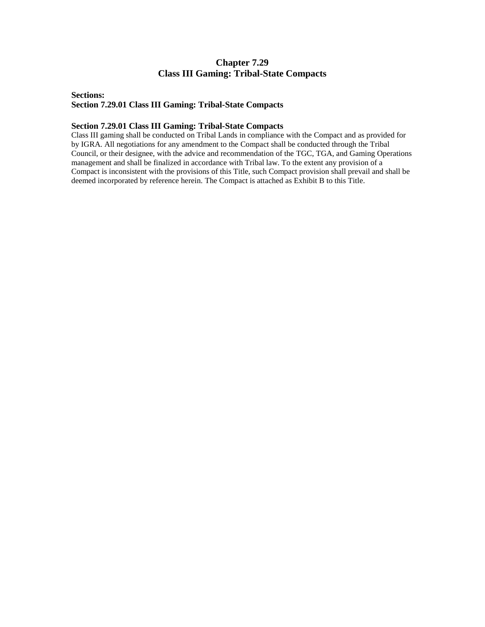## **Chapter 7.29 Class III Gaming: Tribal-State Compacts**

#### **Sections: Section 7.29.01 Class III Gaming: Tribal-State Compacts**

#### **Section 7.29.01 Class III Gaming: Tribal-State Compacts**

Class III gaming shall be conducted on Tribal Lands in compliance with the Compact and as provided for by IGRA. All negotiations for any amendment to the Compact shall be conducted through the Tribal Council, or their designee, with the advice and recommendation of the TGC, TGA, and Gaming Operations management and shall be finalized in accordance with Tribal law. To the extent any provision of a Compact is inconsistent with the provisions of this Title, such Compact provision shall prevail and shall be deemed incorporated by reference herein. The Compact is attached as Exhibit B to this Title.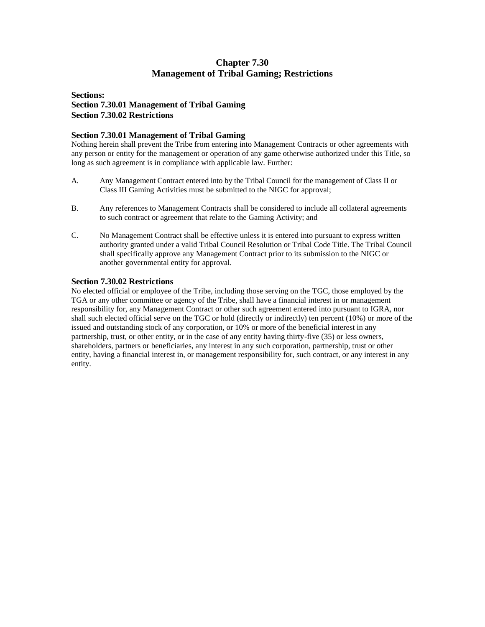## **Chapter 7.30 Management of Tribal Gaming; Restrictions**

### **Sections: Section 7.30.01 Management of Tribal Gaming Section 7.30.02 Restrictions**

#### **Section 7.30.01 Management of Tribal Gaming**

Nothing herein shall prevent the Tribe from entering into Management Contracts or other agreements with any person or entity for the management or operation of any game otherwise authorized under this Title, so long as such agreement is in compliance with applicable law. Further:

- A. Any Management Contract entered into by the Tribal Council for the management of Class II or Class III Gaming Activities must be submitted to the NIGC for approval;
- B. Any references to Management Contracts shall be considered to include all collateral agreements to such contract or agreement that relate to the Gaming Activity; and
- C. No Management Contract shall be effective unless it is entered into pursuant to express written authority granted under a valid Tribal Council Resolution or Tribal Code Title. The Tribal Council shall specifically approve any Management Contract prior to its submission to the NIGC or another governmental entity for approval.

#### **Section 7.30.02 Restrictions**

No elected official or employee of the Tribe, including those serving on the TGC, those employed by the TGA or any other committee or agency of the Tribe, shall have a financial interest in or management responsibility for, any Management Contract or other such agreement entered into pursuant to IGRA, nor shall such elected official serve on the TGC or hold (directly or indirectly) ten percent (10%) or more of the issued and outstanding stock of any corporation, or 10% or more of the beneficial interest in any partnership, trust, or other entity, or in the case of any entity having thirty-five (35) or less owners, shareholders, partners or beneficiaries, any interest in any such corporation, partnership, trust or other entity, having a financial interest in, or management responsibility for, such contract, or any interest in any entity.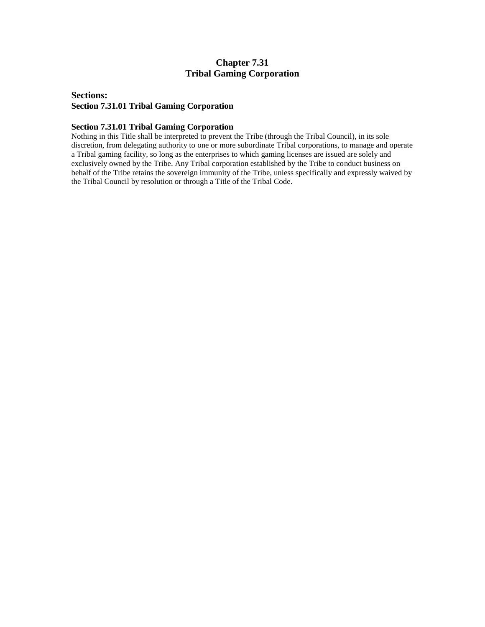## **Chapter 7.31 Tribal Gaming Corporation**

#### **Sections: Section 7.31.01 Tribal Gaming Corporation**

#### **Section 7.31.01 Tribal Gaming Corporation**

Nothing in this Title shall be interpreted to prevent the Tribe (through the Tribal Council), in its sole discretion, from delegating authority to one or more subordinate Tribal corporations, to manage and operate a Tribal gaming facility, so long as the enterprises to which gaming licenses are issued are solely and exclusively owned by the Tribe. Any Tribal corporation established by the Tribe to conduct business on behalf of the Tribe retains the sovereign immunity of the Tribe, unless specifically and expressly waived by the Tribal Council by resolution or through a Title of the Tribal Code.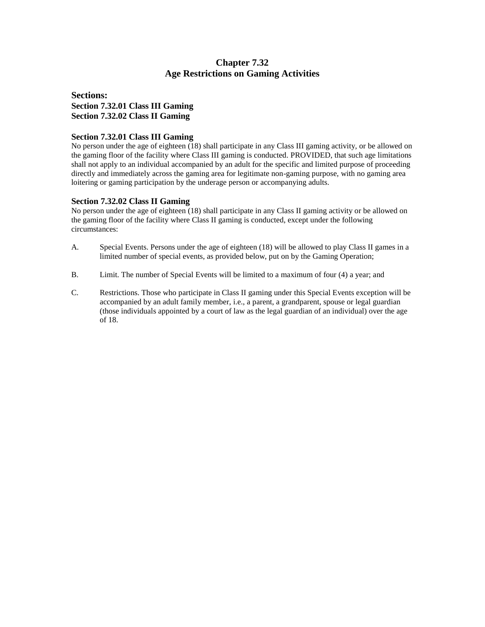## **Chapter 7.32 Age Restrictions on Gaming Activities**

### **Sections: Section 7.32.01 Class III Gaming Section 7.32.02 Class II Gaming**

#### **Section 7.32.01 Class III Gaming**

No person under the age of eighteen (18) shall participate in any Class III gaming activity, or be allowed on the gaming floor of the facility where Class III gaming is conducted. PROVIDED, that such age limitations shall not apply to an individual accompanied by an adult for the specific and limited purpose of proceeding directly and immediately across the gaming area for legitimate non-gaming purpose, with no gaming area loitering or gaming participation by the underage person or accompanying adults.

#### **Section 7.32.02 Class II Gaming**

No person under the age of eighteen (18) shall participate in any Class II gaming activity or be allowed on the gaming floor of the facility where Class II gaming is conducted, except under the following circumstances:

- A. Special Events. Persons under the age of eighteen (18) will be allowed to play Class II games in a limited number of special events, as provided below, put on by the Gaming Operation;
- B. Limit. The number of Special Events will be limited to a maximum of four (4) a year; and
- C. Restrictions. Those who participate in Class II gaming under this Special Events exception will be accompanied by an adult family member, i.e., a parent, a grandparent, spouse or legal guardian (those individuals appointed by a court of law as the legal guardian of an individual) over the age of 18.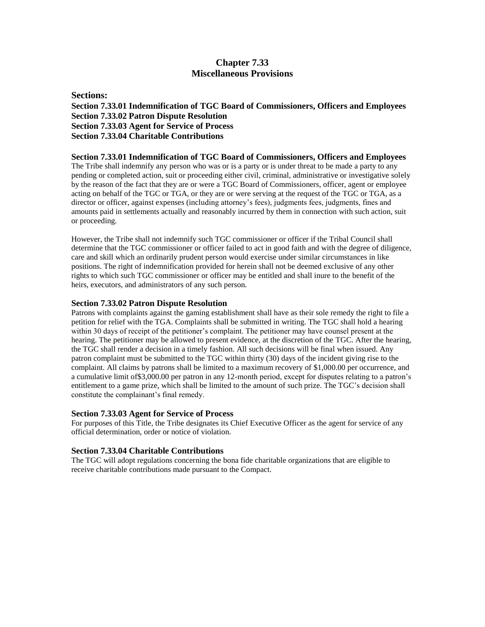### **Chapter 7.33 Miscellaneous Provisions**

**Sections: Section 7.33.01 Indemnification of TGC Board of Commissioners, Officers and Employees Section 7.33.02 Patron Dispute Resolution Section 7.33.03 Agent for Service of Process Section 7.33.04 Charitable Contributions**

**Section 7.33.01 Indemnification of TGC Board of Commissioners, Officers and Employees** The Tribe shall indemnify any person who was or is a party or is under threat to be made a party to any pending or completed action, suit or proceeding either civil, criminal, administrative or investigative solely by the reason of the fact that they are or were a TGC Board of Commissioners, officer, agent or employee acting on behalf of the TGC or TGA, or they are or were serving at the request of the TGC or TGA, as a director or officer, against expenses (including attorney's fees), judgments fees, judgments, fines and amounts paid in settlements actually and reasonably incurred by them in connection with such action, suit or proceeding.

However, the Tribe shall not indemnify such TGC commissioner or officer if the Tribal Council shall determine that the TGC commissioner or officer failed to act in good faith and with the degree of diligence, care and skill which an ordinarily prudent person would exercise under similar circumstances in like positions. The right of indemnification provided for herein shall not be deemed exclusive of any other rights to which such TGC commissioner or officer may be entitled and shall inure to the benefit of the heirs, executors, and administrators of any such person.

#### **Section 7.33.02 Patron Dispute Resolution**

Patrons with complaints against the gaming establishment shall have as their sole remedy the right to file a petition for relief with the TGA. Complaints shall be submitted in writing. The TGC shall hold a hearing within 30 days of receipt of the petitioner's complaint. The petitioner may have counsel present at the hearing. The petitioner may be allowed to present evidence, at the discretion of the TGC. After the hearing, the TGC shall render a decision in a timely fashion. All such decisions will be final when issued. Any patron complaint must be submitted to the TGC within thirty (30) days of the incident giving rise to the complaint. All claims by patrons shall be limited to a maximum recovery of \$1,000.00 per occurrence, and a cumulative limit of\$3,000.00 per patron in any 12-month period, except for disputes relating to a patron's entitlement to a game prize, which shall be limited to the amount of such prize. The TGC's decision shall constitute the complainant's final remedy.

#### **Section 7.33.03 Agent for Service of Process**

For purposes of this Title, the Tribe designates its Chief Executive Officer as the agent for service of any official determination, order or notice of violation.

#### **Section 7.33.04 Charitable Contributions**

The TGC will adopt regulations concerning the bona fide charitable organizations that are eligible to receive charitable contributions made pursuant to the Compact.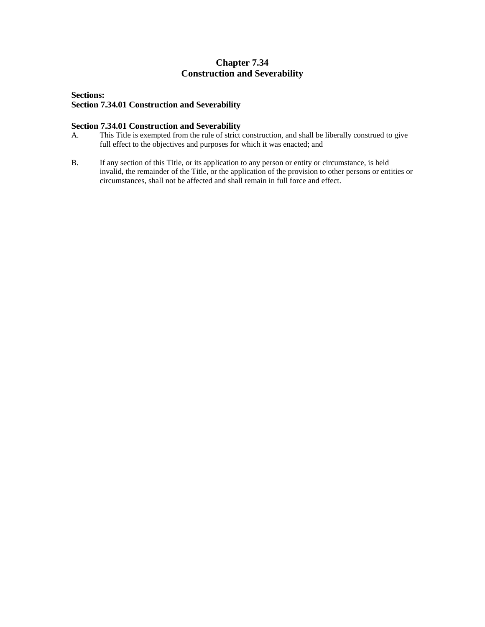## **Chapter 7.34 Construction and Severability**

#### **Sections: Section 7.34.01 Construction and Severability**

### **Section 7.34.01 Construction and Severability**

- A. This Title is exempted from the rule of strict construction, and shall be liberally construed to give full effect to the objectives and purposes for which it was enacted; and
- B. If any section of this Title, or its application to any person or entity or circumstance, is held invalid, the remainder of the Title, or the application of the provision to other persons or entities or circumstances, shall not be affected and shall remain in full force and effect.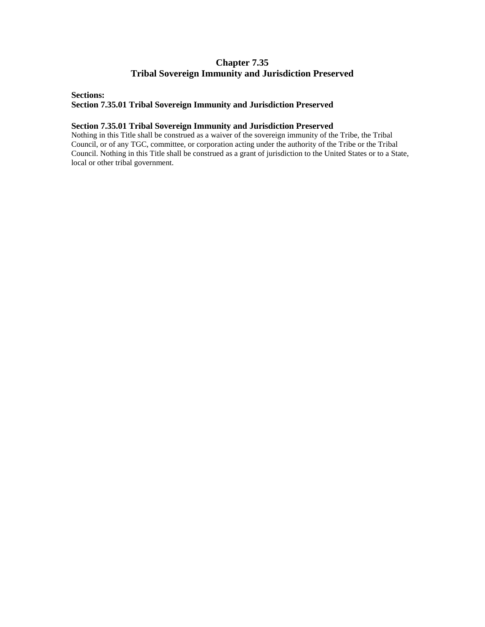## **Chapter 7.35 Tribal Sovereign Immunity and Jurisdiction Preserved**

#### **Sections:**

#### **Section 7.35.01 Tribal Sovereign Immunity and Jurisdiction Preserved**

#### **Section 7.35.01 Tribal Sovereign Immunity and Jurisdiction Preserved**

Nothing in this Title shall be construed as a waiver of the sovereign immunity of the Tribe, the Tribal Council, or of any TGC, committee, or corporation acting under the authority of the Tribe or the Tribal Council. Nothing in this Title shall be construed as a grant of jurisdiction to the United States or to a State, local or other tribal government.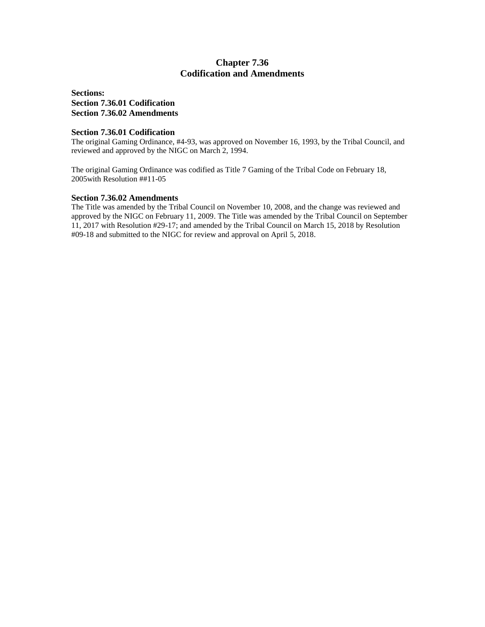### **Chapter 7.36 Codification and Amendments**

**Sections: Section 7.36.01 Codification Section 7.36.02 Amendments**

#### **Section 7.36.01 Codification**

The original Gaming Ordinance, #4-93, was approved on November 16, 1993, by the Tribal Council, and reviewed and approved by the NIGC on March 2, 1994.

The original Gaming Ordinance was codified as Title 7 Gaming of the Tribal Code on February 18, 2005with Resolution ##11-05

#### **Section 7.36.02 Amendments**

The Title was amended by the Tribal Council on November 10, 2008, and the change was reviewed and approved by the NIGC on February 11, 2009. The Title was amended by the Tribal Council on September 11, 2017 with Resolution #29-17; and amended by the Tribal Council on March 15, 2018 by Resolution #09-18 and submitted to the NIGC for review and approval on April 5, 2018.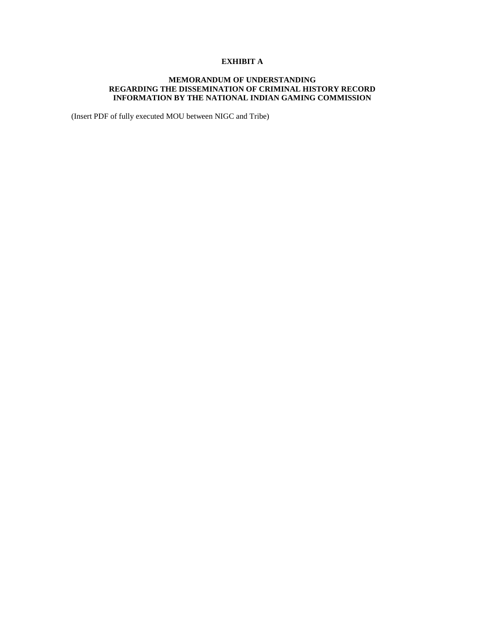### **EXHIBIT A**

#### **MEMORANDUM OF UNDERSTANDING REGARDING THE DISSEMINATION OF CRIMINAL HISTORY RECORD INFORMATION BY THE NATIONAL INDIAN GAMING COMMISSION**

(Insert PDF of fully executed MOU between NIGC and Tribe)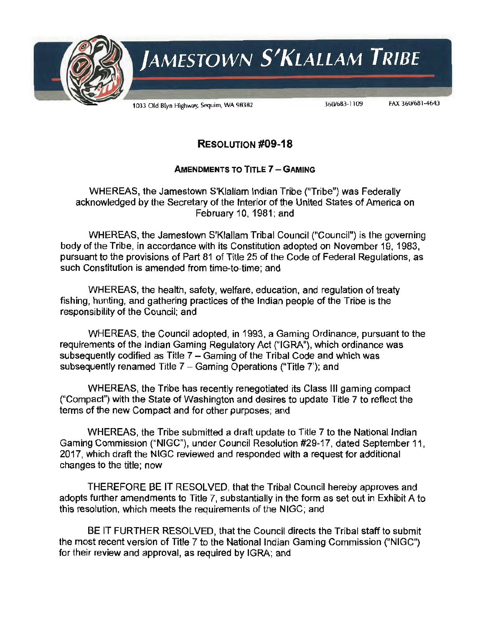

# RESOLUTION **#09-18**

## AMENDMENTS TO TITLE 7 - GAMING

WHEREAS, the Jamestown S'Klallam Indian Tribe ("Tribe") was Federally acknowledged by the Secretary of the Interior of the United States of America on February 10, 1981; and

WHEREAS, the Jamestown S'Klallam Tribal Council ("Council") is the governing body of the Tribe, in accordance with its Constitution adopted on November 19, 1983, pursuant to the provisions of Part 81 of Title 25 of the Code of Federal Regulations, as such Constitution is amended from time-to-time; and

WHEREAS, the health, safety, welfare, education, and regulation of treaty fishing, hunting, and gathering practices of the Indian people of the Tribe is the responsibility of the Council; and

WHEREAS, the Council adopted, in 1993, a Gaming Ordinance, pursuant to the requirements of the Indian Gaming Regulatory Act ("IGRA"), which ordinance was subsequently codified as Title 7 - Gaming of the Tribal Code and which was subsequently renamed Title 7 - Gaming Operations ("Title 7"): and

WHEREAS, the Tribe has recently renegotiated its Class Ill gaming compact ("Compact") with the State of Washington and desires to update Title 7 to reflect the terms of the new Compact and for other purposes; and

WHEREAS, the Tribe submitted a draft update to Title 7 to the National Indian Gaming Commission ("NIGC"), under Council Resolution #29-17, dated September 11, 2017, which draft the NIGC reviewed and responded with a request for additional changes to the title; now

THEREFORE BE IT RESOLVED, that the Tribal Council hereby approves and adopts further amendments to Title 7, substantially in the form as set out in Exhibit A to this resolution, which meets the requirements of the NIGC; and

BE IT FURTHER RESOLVED, that the Council directs the Tribal staff to submit the most recent version of Title 7 to the National Indian Gaming Commission ("NIGC") for their review and approval, as required by IGRA; and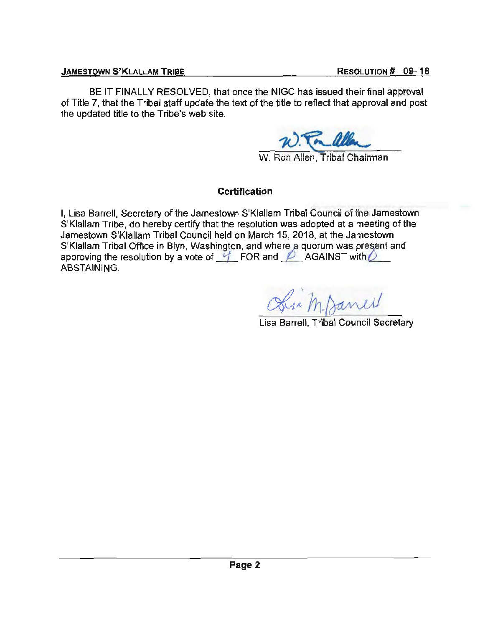BE IT FINALLY RESOLVED, that once the NIGC has issued their final approval of Title 7, that the Tribal staff update the text of the title to reflect that approval and post the updated title to the Tribe's web site.

# W. Ron Allen, Tribal Chairman

# **Certification**

I, Lisa Barrell, Secretary of the Jamestown S'Klallam Tribal Council of the Jamestown S'Klallam Tribe, do hereby certify that the resolution was adopted at a meeting of the Jamestown S'Klallam Tribal Council held on March 15, 2018, at the Jamestown S'Klallam Tribal Office in Blyn, Washington, and where a quorum was present and approving the resolution by a vote of  $\frac{1}{2}$ . FOR and  $\cancel{D}$ . AGAINST with  $\cancel{D}$ ABSTAINING.

Der M. Danel

Lisa Barrell, Tribal Council Secretary